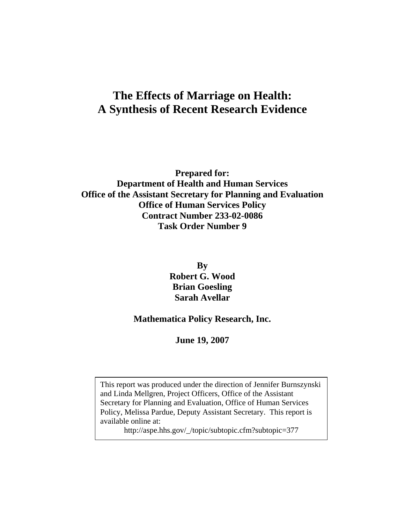# **The Effects of Marriage on Health: A Synthesis of Recent Research Evidence**

**Prepared for: Department of Health and Human Services Office of the Assistant Secretary for Planning and Evaluation Office of Human Services Policy Contract Number 233-02-0086 Task Order Number 9** 

> **By Robert G. Wood Brian Goesling Sarah Avellar**

### **Mathematica Policy Research, Inc.**

**June 19, 2007** 

This report was produced under the direction of Jennifer Burnszynski and Linda Mellgren, Project Officers, Office of the Assistant Secretary for Planning and Evaluation, Office of Human Services Policy, Melissa Pardue, Deputy Assistant Secretary. This report is available online at:

http://aspe.hhs.gov/\_/topic/subtopic.cfm?subtopic=377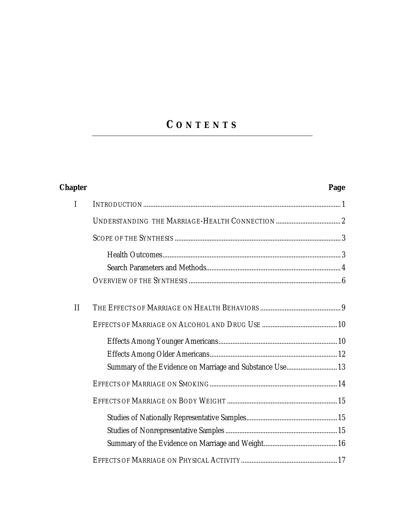# **C ONTENTS**

| <b>Chapter</b> | Page                                                     |
|----------------|----------------------------------------------------------|
| $\mathbf I$    |                                                          |
|                |                                                          |
|                |                                                          |
|                |                                                          |
|                |                                                          |
|                |                                                          |
| $\mathbf{I}$   |                                                          |
|                |                                                          |
|                |                                                          |
|                |                                                          |
|                | Summary of the Evidence on Marriage and Substance Use 13 |
|                |                                                          |
|                |                                                          |
|                |                                                          |
|                |                                                          |
|                |                                                          |
|                |                                                          |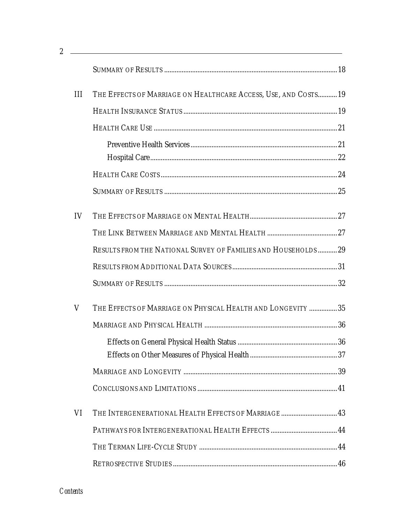|     | <u> 1989 - Johann Stoff, amerikansk politiker (* 1908)</u>      |  |  |  |
|-----|-----------------------------------------------------------------|--|--|--|
|     |                                                                 |  |  |  |
| III | THE EFFECTS OF MARRIAGE ON HEALTHCARE ACCESS, USE, AND COSTS 19 |  |  |  |
|     |                                                                 |  |  |  |
|     |                                                                 |  |  |  |
|     |                                                                 |  |  |  |
|     |                                                                 |  |  |  |
|     |                                                                 |  |  |  |
|     |                                                                 |  |  |  |
| IV  |                                                                 |  |  |  |
|     |                                                                 |  |  |  |
|     | RESULTS FROM THE NATIONAL SURVEY OF FAMILIES AND HOUSEHOLDS  29 |  |  |  |
|     |                                                                 |  |  |  |
|     |                                                                 |  |  |  |
| V   | THE EFFECTS OF MARRIAGE ON PHYSICAL HEALTH AND LONGEVITY  35    |  |  |  |
|     |                                                                 |  |  |  |
|     |                                                                 |  |  |  |
|     |                                                                 |  |  |  |
|     |                                                                 |  |  |  |
|     |                                                                 |  |  |  |
| VI  | THE INTERGENERATIONAL HEALTH EFFECTS OF MARRIAGE 43             |  |  |  |
|     |                                                                 |  |  |  |
|     |                                                                 |  |  |  |
|     |                                                                 |  |  |  |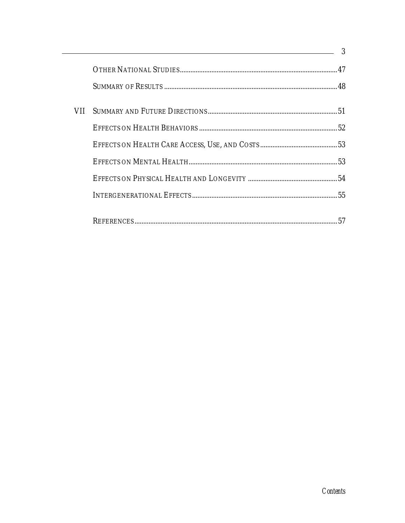|       | $\equiv$ 3 |    |
|-------|------------|----|
|       |            |    |
|       |            |    |
| VII - |            |    |
|       |            |    |
|       |            |    |
|       |            |    |
|       |            |    |
|       |            |    |
|       |            | 57 |
|       |            |    |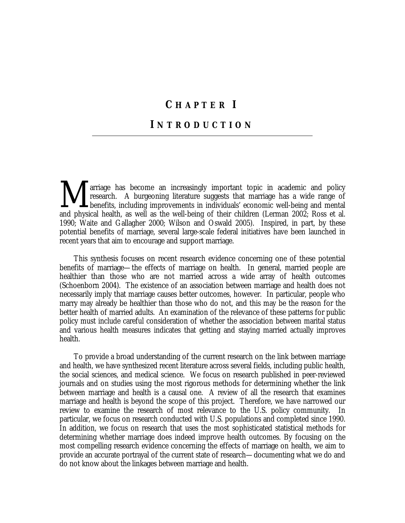# **C HAPTER I**

### **I NTRODUCTION**

**A** arriage has become an increasingly important topic in academic and policy research. A burgeoning literature suggests that marriage has a wide range of benefits, including improvements in individuals' economic well-bein research. A burgeoning literature suggests that marriage has a wide range of **I** benefits, including improvements in individuals' economic well-being and mental and physical health, as well as the well-being of their children (Lerman 2002; Ross et al. 1990; Waite and Gallagher 2000; Wilson and Oswald 2005). Inspired, in part, by these potential benefits of marriage, several large-scale federal initiatives have been launched in recent years that aim to encourage and support marriage.

 This synthesis focuses on recent research evidence concerning one of these potential benefits of marriage—the effects of marriage on health. In general, married people are healthier than those who are not married across a wide array of health outcomes (Schoenborn 2004). The existence of an association between marriage and health does not necessarily imply that marriage causes better outcomes, however. In particular, people who marry may already be healthier than those who do not, and this may be the reason for the better health of married adults. An examination of the relevance of these patterns for public policy must include careful consideration of whether the association between marital status and various health measures indicates that getting and staying married actually improves health.

 To provide a broad understanding of the current research on the link between marriage and health, we have synthesized recent literature across several fields, including public health, the social sciences, and medical science. We focus on research published in peer-reviewed journals and on studies using the most rigorous methods for determining whether the link between marriage and health is a causal one. A review of all the research that examines marriage and health is beyond the scope of this project. Therefore, we have narrowed our review to examine the research of most relevance to the U.S. policy community. In particular, we focus on research conducted with U.S. populations and completed since 1990. In addition, we focus on research that uses the most sophisticated statistical methods for determining whether marriage does indeed improve health outcomes. By focusing on the most compelling research evidence concerning the effects of marriage on health, we aim to provide an accurate portrayal of the current state of research—documenting what we do and do not know about the linkages between marriage and health.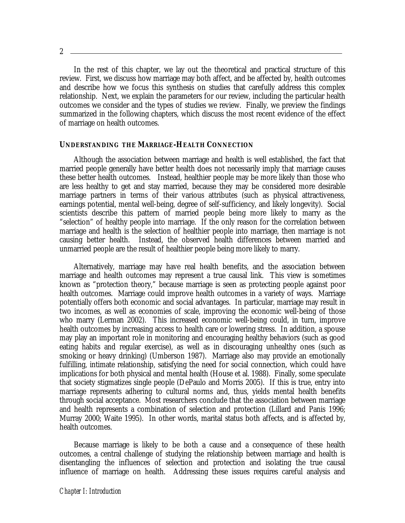In the rest of this chapter, we lay out the theoretical and practical structure of this review. First, we discuss how marriage may both affect, and be affected by, health outcomes and describe how we focus this synthesis on studies that carefully address this complex relationship. Next, we explain the parameters for our review, including the particular health outcomes we consider and the types of studies we review. Finally, we preview the findings summarized in the following chapters, which discuss the most recent evidence of the effect of marriage on health outcomes.

#### **UNDERSTANDING THE MARRIAGE-HEALTH CONNECTION**

Although the association between marriage and health is well established, the fact that married people generally have better health does not necessarily imply that marriage causes these better health outcomes. Instead, healthier people may be more likely than those who are less healthy to get and stay married, because they may be considered more desirable marriage partners in terms of their various attributes (such as physical attractiveness, earnings potential, mental well-being, degree of self-sufficiency, and likely longevity). Social scientists describe this pattern of married people being more likely to marry as the "selection" of healthy people into marriage. If the only reason for the correlation between marriage and health is the selection of healthier people into marriage, then marriage is not causing better health. Instead, the observed health differences between married and unmarried people are the result of healthier people being more likely to marry.

Alternatively, marriage may have real health benefits, and the association between marriage and health outcomes may represent a true causal link. This view is sometimes known as "protection theory," because marriage is seen as protecting people against poor health outcomes. Marriage could improve health outcomes in a variety of ways. Marriage potentially offers both economic and social advantages. In particular, marriage may result in two incomes, as well as economies of scale, improving the economic well-being of those who marry (Lerman 2002). This increased economic well-being could, in turn, improve health outcomes by increasing access to health care or lowering stress. In addition, a spouse may play an important role in monitoring and encouraging healthy behaviors (such as good eating habits and regular exercise), as well as in discouraging unhealthy ones (such as smoking or heavy drinking) (Umberson 1987). Marriage also may provide an emotionally fulfilling, intimate relationship, satisfying the need for social connection, which could have implications for both physical and mental health (House et al. 1988). Finally, some speculate that society stigmatizes single people (DePaulo and Morris 2005). If this is true, entry into marriage represents adhering to cultural norms and, thus, yields mental health benefits through social acceptance. Most researchers conclude that the association between marriage and health represents a combination of selection and protection (Lillard and Panis 1996; Murray 2000; Waite 1995). In other words, marital status both affects, and is affected by, health outcomes.

 Because marriage is likely to be both a cause and a consequence of these health outcomes, a central challenge of studying the relationship between marriage and health is disentangling the influences of selection and protection and isolating the true causal influence of marriage on health. Addressing these issues requires careful analysis and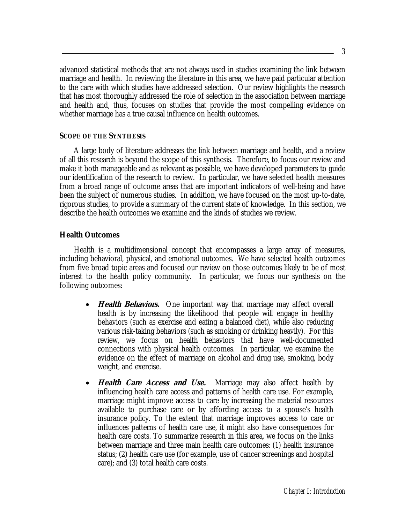advanced statistical methods that are not always used in studies examining the link between marriage and health. In reviewing the literature in this area, we have paid particular attention to the care with which studies have addressed selection. Our review highlights the research that has most thoroughly addressed the role of selection in the association between marriage and health and, thus, focuses on studies that provide the most compelling evidence on whether marriage has a true causal influence on health outcomes.

#### **SCOPE OF THE SYNTHESIS**

 A large body of literature addresses the link between marriage and health, and a review of all this research is beyond the scope of this synthesis. Therefore, to focus our review and make it both manageable and as relevant as possible, we have developed parameters to guide our identification of the research to review. In particular, we have selected health measures from a broad range of outcome areas that are important indicators of well-being and have been the subject of numerous studies. In addition, we have focused on the most up-to-date, rigorous studies, to provide a summary of the current state of knowledge. In this section, we describe the health outcomes we examine and the kinds of studies we review.

#### **Health Outcomes**

 Health is a multidimensional concept that encompasses a large array of measures, including behavioral, physical, and emotional outcomes. We have selected health outcomes from five broad topic areas and focused our review on those outcomes likely to be of most interest to the health policy community. In particular, we focus our synthesis on the following outcomes:

- *Health Behaviors.* One important way that marriage may affect overall health is by increasing the likelihood that people will engage in healthy behaviors (such as exercise and eating a balanced diet), while also reducing various risk-taking behaviors (such as smoking or drinking heavily). For this review, we focus on health behaviors that have well-documented connections with physical health outcomes. In particular, we examine the evidence on the effect of marriage on alcohol and drug use, smoking, body weight, and exercise.
- *Health Care Access and Use.* Marriage may also affect health by influencing health care access and patterns of health care use. For example, marriage might improve access to care by increasing the material resources available to purchase care or by affording access to a spouse's health insurance policy. To the extent that marriage improves access to care or influences patterns of health care use, it might also have consequences for health care costs. To summarize research in this area, we focus on the links between marriage and three main health care outcomes: (1) health insurance status; (2) health care use (for example, use of cancer screenings and hospital care); and (3) total health care costs.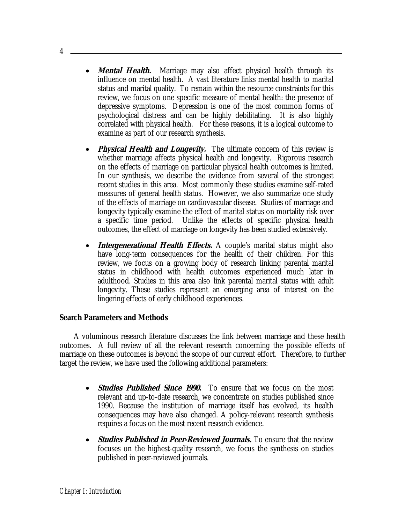- *Mental Health.* Marriage may also affect physical health through its influence on mental health. A vast literature links mental health to marital status and marital quality. To remain within the resource constraints for this review, we focus on one specific measure of mental health: the presence of depressive symptoms. Depression is one of the most common forms of psychological distress and can be highly debilitating. It is also highly correlated with physical health. For these reasons, it is a logical outcome to examine as part of our research synthesis.
- **Physical Health and Longevity.** The ultimate concern of this review is whether marriage affects physical health and longevity. Rigorous research on the effects of marriage on particular physical health outcomes is limited. In our synthesis, we describe the evidence from several of the strongest recent studies in this area. Most commonly these studies examine self-rated measures of general health status. However, we also summarize one study of the effects of marriage on cardiovascular disease. Studies of marriage and longevity typically examine the effect of marital status on mortality risk over a specific time period. Unlike the effects of specific physical health outcomes, the effect of marriage on longevity has been studied extensively.
- **Intergenerational Health Effects.** A couple's marital status might also have long-term consequences for the health of their children. For this review, we focus on a growing body of research linking parental marital status in childhood with health outcomes experienced much later in adulthood. Studies in this area also link parental marital status with adult longevity. These studies represent an emerging area of interest on the lingering effects of early childhood experiences.

#### **Search Parameters and Methods**

 A voluminous research literature discusses the link between marriage and these health outcomes. A full review of all the relevant research concerning the possible effects of marriage on these outcomes is beyond the scope of our current effort. Therefore, to further target the review, we have used the following additional parameters:

- **Studies Published Since 1990.** To ensure that we focus on the most relevant and up-to-date research, we concentrate on studies published since 1990. Because the institution of marriage itself has evolved, its health consequences may have also changed. A policy-relevant research synthesis requires a focus on the most recent research evidence.
- *Studies Published in Peer-Reviewed Journals.* **To ensure that the review** focuses on the highest-quality research, we focus the synthesis on studies published in peer-reviewed journals.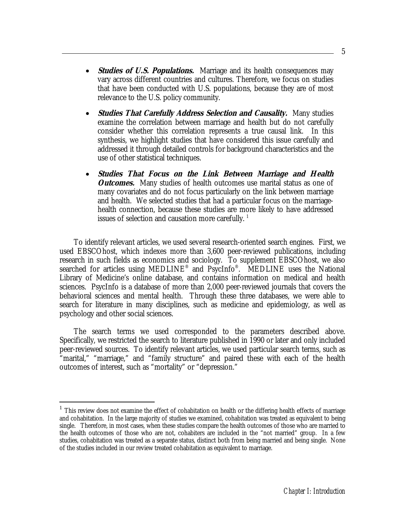- *Studies of U.S. Populations.* Marriage and its health consequences may vary across different countries and cultures. Therefore, we focus on studies that have been conducted with U.S. populations, because they are of most relevance to the U.S. policy community.
- *Studies That Carefully Address Selection and Causality.* **Many studies** examine the correlation between marriage and health but do not carefully consider whether this correlation represents a true causal link. In this synthesis, we highlight studies that have considered this issue carefully and addressed it through detailed controls for background characteristics and the use of other statistical techniques.
- **Studies That Focus on the Link Between Marriage and Health**  *Outcomes.* Many studies of health outcomes use marital status as one of many covariates and do not focus particularly on the link between marriage and health. We selected studies that had a particular focus on the marriagehealth connection, because these studies are more likely to have addressed issues of selection and causation more carefully.  $^{\mathrm{1}}$

 To identify relevant articles, we used several research-oriented search engines. First, we used EBSCOhost, which indexes more than 3,600 peer-reviewed publications, including research in such fields as economics and sociology. To supplement EBSCOhost, we also searched for articles using MEDLINE<sup>®</sup> and PsycInfo<sup>®</sup>. MEDLINE uses the National Library of Medicine's online database, and contains information on medical and health sciences. PsycInfo is a database of more than 2,000 peer-reviewed journals that covers the behavioral sciences and mental health. Through these three databases, we were able to search for literature in many disciplines, such as medicine and epidemiology, as well as psychology and other social sciences.

 The search terms we used corresponded to the parameters described above. Specifically, we restricted the search to literature published in 1990 or later and only included peer-reviewed sources. To identify relevant articles, we used particular search terms, such as "marital," "marriage," and "family structure" and paired these with each of the health outcomes of interest, such as "mortality" or "depression."

<u>.</u>

<sup>&</sup>lt;sup>1</sup> This review does not examine the effect of cohabitation on health or the differing health effects of marriage and cohabitation. In the large majority of studies we examined, cohabitation was treated as equivalent to being single. Therefore, in most cases, when these studies compare the health outcomes of those who are married to the health outcomes of those who are not, cohabiters are included in the "not married" group. In a few studies, cohabitation was treated as a separate status, distinct both from being married and being single. None of the studies included in our review treated cohabitation as equivalent to marriage.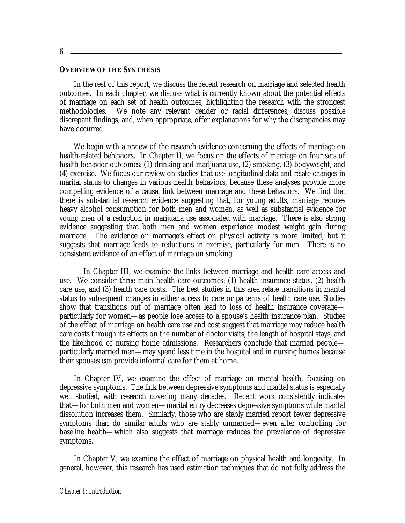6

#### **OVERVIEW OF THE SYNTHESIS**

 In the rest of this report, we discuss the recent research on marriage and selected health outcomes. In each chapter, we discuss what is currently known about the potential effects of marriage on each set of health outcomes, highlighting the research with the strongest methodologies. We note any relevant gender or racial differences, discuss possible discrepant findings, and, when appropriate, offer explanations for why the discrepancies may have occurred.

 We begin with a review of the research evidence concerning the effects of marriage on health-related behaviors. In Chapter II, we focus on the effects of marriage on four sets of health behavior outcomes: (1) drinking and marijuana use, (2) smoking, (3) bodyweight, and (4) exercise. We focus our review on studies that use longitudinal data and relate changes in marital status to changes in various health behaviors, because these analyses provide more compelling evidence of a causal link between marriage and these behaviors. We find that there is substantial research evidence suggesting that, for young adults, marriage reduces heavy alcohol consumption for both men and women, as well as substantial evidence for young men of a reduction in marijuana use associated with marriage. There is also strong evidence suggesting that both men and women experience modest weight gain during marriage. The evidence on marriage's effect on physical activity is more limited, but it suggests that marriage leads to reductions in exercise, particularly for men. There is no consistent evidence of an effect of marriage on smoking.

 In Chapter III, we examine the links between marriage and health care access and use. We consider three main health care outcomes: (1) health insurance status, (2) health care use, and (3) health care costs. The best studies in this area relate transitions in marital status to subsequent changes in either access to care or patterns of health care use. Studies show that transitions out of marriage often lead to loss of health insurance coverage particularly for women—as people lose access to a spouse's health insurance plan. Studies of the effect of marriage on health care use and cost suggest that marriage may reduce health care costs through its effects on the number of doctor visits, the length of hospital stays, and the likelihood of nursing home admissions. Researchers conclude that married people particularly married men—may spend less time in the hospital and in nursing homes because their spouses can provide informal care for them at home.

 In Chapter IV, we examine the effect of marriage on mental health, focusing on depressive symptoms. The link between depressive symptoms and marital status is especially well studied, with research covering many decades. Recent work consistently indicates that—for both men and women—marital entry decreases depressive symptoms while marital dissolution increases them. Similarly, those who are stably married report fewer depressive symptoms than do similar adults who are stably unmarried—even after controlling for baseline health—which also suggests that marriage reduces the prevalence of depressive symptoms.

In Chapter V, we examine the effect of marriage on physical health and longevity. In general, however, this research has used estimation techniques that do not fully address the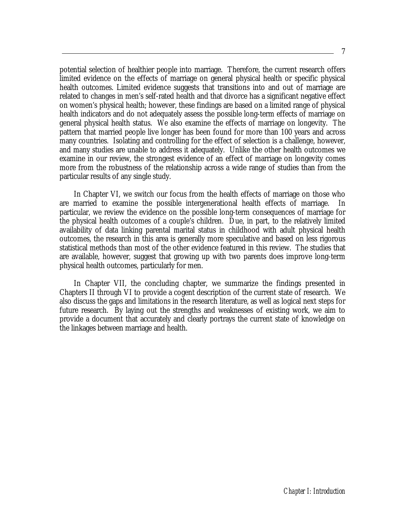potential selection of healthier people into marriage. Therefore, the current research offers limited evidence on the effects of marriage on general physical health or specific physical health outcomes. Limited evidence suggests that transitions into and out of marriage are related to changes in men's self-rated health and that divorce has a significant negative effect on women's physical health; however, these findings are based on a limited range of physical health indicators and do not adequately assess the possible long-term effects of marriage on general physical health status. We also examine the effects of marriage on longevity. The pattern that married people live longer has been found for more than 100 years and across many countries. Isolating and controlling for the effect of selection is a challenge, however, and many studies are unable to address it adequately. Unlike the other health outcomes we examine in our review, the strongest evidence of an effect of marriage on longevity comes more from the robustness of the relationship across a wide range of studies than from the particular results of any single study.

 In Chapter VI, we switch our focus from the health effects of marriage on those who are married to examine the possible intergenerational health effects of marriage. particular, we review the evidence on the possible long-term consequences of marriage for the physical health outcomes of a couple's children. Due, in part, to the relatively limited availability of data linking parental marital status in childhood with adult physical health outcomes, the research in this area is generally more speculative and based on less rigorous statistical methods than most of the other evidence featured in this review. The studies that are available, however, suggest that growing up with two parents does improve long-term physical health outcomes, particularly for men.

 In Chapter VII, the concluding chapter, we summarize the findings presented in Chapters II through VI to provide a cogent description of the current state of research. We also discuss the gaps and limitations in the research literature, as well as logical next steps for future research. By laying out the strengths and weaknesses of existing work, we aim to provide a document that accurately and clearly portrays the current state of knowledge on the linkages between marriage and health.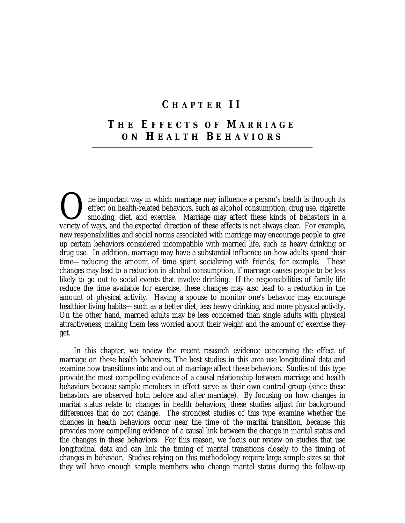### **C HAPTER II**

# **T HE E FFECTS OF M ARRIAGE ON H EALTH B EHAVIORS**

ne important way in which marriage may influence a person's health is through its effect on health-related behaviors, such as alcohol consumption, drug use, cigarette smoking, diet, and exercise. Marriage may affect these kinds of behaviors in a The important way in which marriage may influence a person's health is through its effect on health-related behaviors, such as alcohol consumption, drug use, cigarette smoking, diet, and exercise. Marriage may affect these new responsibilities and social norms associated with marriage may encourage people to give up certain behaviors considered incompatible with married life, such as heavy drinking or drug use. In addition, marriage may have a substantial influence on how adults spend their time—reducing the amount of time spent socializing with friends, for example. These changes may lead to a reduction in alcohol consumption, if marriage causes people to be less likely to go out to social events that involve drinking. If the responsibilities of family life reduce the time available for exercise, these changes may also lead to a reduction in the amount of physical activity. Having a spouse to monitor one's behavior may encourage healthier living habits—such as a better diet, less heavy drinking, and more physical activity. On the other hand, married adults may be less concerned than single adults with physical attractiveness, making them less worried about their weight and the amount of exercise they get.

 In this chapter, we review the recent research evidence concerning the effect of marriage on these health behaviors. The best studies in this area use longitudinal data and examine how transitions into and out of marriage affect these behaviors. Studies of this type provide the most compelling evidence of a causal relationship between marriage and health behaviors because sample members in effect serve as their own control group (since these behaviors are observed both before and after marriage). By focusing on how changes in marital status relate to changes in health behaviors, these studies adjust for background differences that do not change. The strongest studies of this type examine whether the changes in health behaviors occur near the time of the marital transition, because this provides more compelling evidence of a causal link between the change in marital status and the changes in these behaviors. For this reason, we focus our review on studies that use longitudinal data and can link the timing of marital transitions closely to the timing of changes in behavior. Studies relying on this methodology require large sample sizes so that they will have enough sample members who change marital status during the follow-up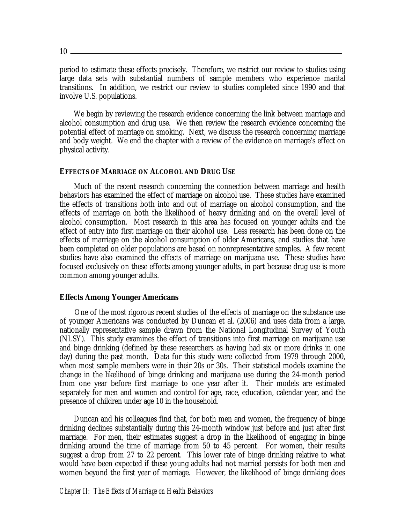$10 -$ 

period to estimate these effects precisely. Therefore, we restrict our review to studies using large data sets with substantial numbers of sample members who experience marital transitions. In addition, we restrict our review to studies completed since 1990 and that involve U.S. populations.

We begin by reviewing the research evidence concerning the link between marriage and alcohol consumption and drug use. We then review the research evidence concerning the potential effect of marriage on smoking. Next, we discuss the research concerning marriage and body weight. We end the chapter with a review of the evidence on marriage's effect on physical activity.

#### **EFFECTS OF MARRIAGE ON ALCOHOL AND DRUG USE**

Much of the recent research concerning the connection between marriage and health behaviors has examined the effect of marriage on alcohol use. These studies have examined the effects of transitions both into and out of marriage on alcohol consumption, and the effects of marriage on both the likelihood of heavy drinking and on the overall level of alcohol consumption. Most research in this area has focused on younger adults and the effect of entry into first marriage on their alcohol use. Less research has been done on the effects of marriage on the alcohol consumption of older Americans, and studies that have been completed on older populations are based on nonrepresentative samples. A few recent studies have also examined the effects of marriage on marijuana use. These studies have focused exclusively on these effects among younger adults, in part because drug use is more common among younger adults.

#### **Effects Among Younger Americans**

One of the most rigorous recent studies of the effects of marriage on the substance use of younger Americans was conducted by Duncan et al. (2006) and uses data from a large, nationally representative sample drawn from the National Longitudinal Survey of Youth (NLSY). This study examines the effect of transitions into first marriage on marijuana use and binge drinking (defined by these researchers as having had six or more drinks in one day) during the past month. Data for this study were collected from 1979 through 2000, when most sample members were in their 20s or 30s. Their statistical models examine the change in the likelihood of binge drinking and marijuana use during the 24-month period from one year before first marriage to one year after it. Their models are estimated separately for men and women and control for age, race, education, calendar year, and the presence of children under age 10 in the household.

Duncan and his colleagues find that, for both men and women, the frequency of binge drinking declines substantially during this 24-month window just before and just after first marriage. For men, their estimates suggest a drop in the likelihood of engaging in binge drinking around the time of marriage from 50 to 45 percent. For women, their results suggest a drop from 27 to 22 percent. This lower rate of binge drinking relative to what would have been expected if these young adults had not married persists for both men and women beyond the first year of marriage. However, the likelihood of binge drinking does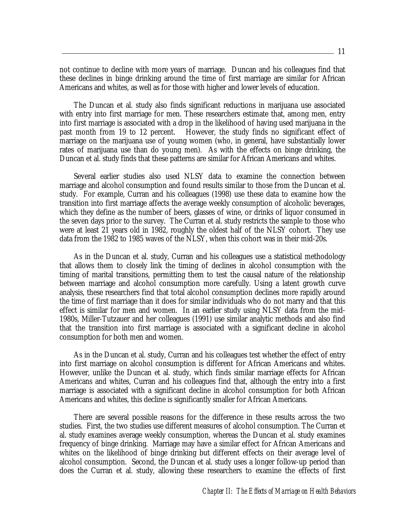not continue to decline with more years of marriage. Duncan and his colleagues find that these declines in binge drinking around the time of first marriage are similar for African Americans and whites, as well as for those with higher and lower levels of education.

The Duncan et al. study also finds significant reductions in marijuana use associated with entry into first marriage for men. These researchers estimate that, among men, entry into first marriage is associated with a drop in the likelihood of having used marijuana in the past month from 19 to 12 percent. However, the study finds no significant effect of marriage on the marijuana use of young women (who, in general, have substantially lower rates of marijuana use than do young men). As with the effects on binge drinking, the Duncan et al. study finds that these patterns are similar for African Americans and whites.

Several earlier studies also used NLSY data to examine the connection between marriage and alcohol consumption and found results similar to those from the Duncan et al. study. For example, Curran and his colleagues (1998) use these data to examine how the transition into first marriage affects the average weekly consumption of alcoholic beverages, which they define as the number of beers, glasses of wine, or drinks of liquor consumed in the seven days prior to the survey. The Curran et al. study restricts the sample to those who were at least 21 years old in 1982, roughly the oldest half of the NLSY cohort. They use data from the 1982 to 1985 waves of the NLSY, when this cohort was in their mid-20s.

As in the Duncan et al. study, Curran and his colleagues use a statistical methodology that allows them to closely link the timing of declines in alcohol consumption with the timing of marital transitions, permitting them to test the causal nature of the relationship between marriage and alcohol consumption more carefully. Using a latent growth curve analysis, these researchers find that total alcohol consumption declines more rapidly around the time of first marriage than it does for similar individuals who do not marry and that this effect is similar for men and women. In an earlier study using NLSY data from the mid-1980s, Miller-Tutzauer and her colleagues (1991) use similar analytic methods and also find that the transition into first marriage is associated with a significant decline in alcohol consumption for both men and women.

As in the Duncan et al. study, Curran and his colleagues test whether the effect of entry into first marriage on alcohol consumption is different for African Americans and whites. However, unlike the Duncan et al. study, which finds similar marriage effects for African Americans and whites, Curran and his colleagues find that, although the entry into a first marriage is associated with a significant decline in alcohol consumption for both African Americans and whites, this decline is significantly smaller for African Americans.

There are several possible reasons for the difference in these results across the two studies. First, the two studies use different measures of alcohol consumption. The Curran et al. study examines average weekly consumption, whereas the Duncan et al. study examines frequency of binge drinking. Marriage may have a similar effect for African Americans and whites on the likelihood of binge drinking but different effects on their average level of alcohol consumption. Second, the Duncan et al. study uses a longer follow-up period than does the Curran et al. study, allowing these researchers to examine the effects of first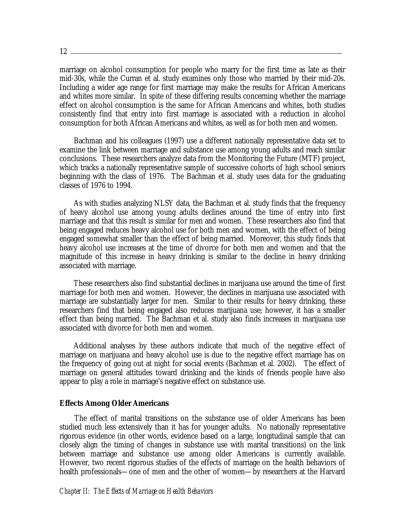marriage on alcohol consumption for people who marry for the first time as late as their mid-30s, while the Curran et al. study examines only those who married by their mid-20s. Including a wider age range for first marriage may make the results for African Americans and whites more similar. In spite of these differing results concerning whether the marriage effect on alcohol consumption is the same for African Americans and whites, both studies consistently find that entry into first marriage is associated with a reduction in alcohol consumption for both African Americans and whites, as well as for both men and women.

Bachman and his colleagues (1997) use a different nationally representative data set to examine the link between marriage and substance use among young adults and reach similar conclusions. These researchers analyze data from the Monitoring the Future (MTF) project, which tracks a nationally representative sample of successive cohorts of high school seniors beginning with the class of 1976. The Bachman et al. study uses data for the graduating classes of 1976 to 1994.

As with studies analyzing NLSY data, the Bachman et al. study finds that the frequency of heavy alcohol use among young adults declines around the time of entry into first marriage and that this result is similar for men and women. These researchers also find that being engaged reduces heavy alcohol use for both men and women, with the effect of being engaged somewhat smaller than the effect of being married. Moreover, this study finds that heavy alcohol use increases at the time of divorce for both men and women and that the magnitude of this increase in heavy drinking is similar to the decline in heavy drinking associated with marriage.

These researchers also find substantial declines in marijuana use around the time of first marriage for both men and women. However, the declines in marijuana use associated with marriage are substantially larger for men. Similar to their results for heavy drinking, these researchers find that being engaged also reduces marijuana use; however, it has a smaller effect than being married. The Bachman et al. study also finds increases in marijuana use associated with divorce for both men and women.

Additional analyses by these authors indicate that much of the negative effect of marriage on marijuana and heavy alcohol use is due to the negative effect marriage has on the frequency of going out at night for social events (Bachman et al. 2002). The effect of marriage on general attitudes toward drinking and the kinds of friends people have also appear to play a role in marriage's negative effect on substance use.

#### **Effects Among Older Americans**

The effect of marital transitions on the substance use of older Americans has been studied much less extensively than it has for younger adults. No nationally representative rigorous evidence (in other words, evidence based on a large, longitudinal sample that can closely align the timing of changes in substance use with marital transitions) on the link between marriage and substance use among older Americans is currently available. However, two recent rigorous studies of the effects of marriage on the health behaviors of health professionals—one of men and the other of women—by researchers at the Harvard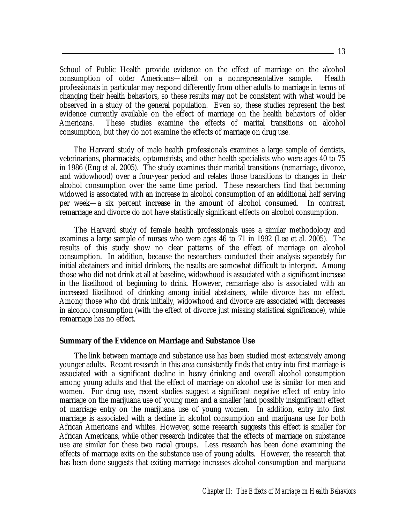School of Public Health provide evidence on the effect of marriage on the alcohol consumption of older Americans—albeit on a nonrepresentative sample. Health professionals in particular may respond differently from other adults to marriage in terms of changing their health behaviors, so these results may not be consistent with what would be observed in a study of the general population. Even so, these studies represent the best evidence currently available on the effect of marriage on the health behaviors of older Americans. These studies examine the effects of marital transitions on alcohol consumption, but they do not examine the effects of marriage on drug use.

 The Harvard study of male health professionals examines a large sample of dentists, veterinarians, pharmacists, optometrists, and other health specialists who were ages 40 to 75 in 1986 (Eng et al. 2005). The study examines their marital transitions (remarriage, divorce, and widowhood) over a four-year period and relates those transitions to changes in their alcohol consumption over the same time period. These researchers find that becoming widowed is associated with an increase in alcohol consumption of an additional half serving per week—a six percent increase in the amount of alcohol consumed. In contrast, remarriage and divorce do not have statistically significant effects on alcohol consumption.

The Harvard study of female health professionals uses a similar methodology and examines a large sample of nurses who were ages 46 to 71 in 1992 (Lee et al. 2005). The results of this study show no clear patterns of the effect of marriage on alcohol consumption. In addition, because the researchers conducted their analysis separately for initial abstainers and initial drinkers, the results are somewhat difficult to interpret. Among those who did not drink at all at baseline, widowhood is associated with a significant increase in the likelihood of beginning to drink. However, remarriage also is associated with an increased likelihood of drinking among initial abstainers, while divorce has no effect. Among those who did drink initially, widowhood and divorce are associated with decreases in alcohol consumption (with the effect of divorce just missing statistical significance), while remarriage has no effect.

#### **Summary of the Evidence on Marriage and Substance Use**

The link between marriage and substance use has been studied most extensively among younger adults. Recent research in this area consistently finds that entry into first marriage is associated with a significant decline in heavy drinking and overall alcohol consumption among young adults and that the effect of marriage on alcohol use is similar for men and women. For drug use, recent studies suggest a significant negative effect of entry into marriage on the marijuana use of young men and a smaller (and possibly insignificant) effect of marriage entry on the marijuana use of young women. In addition, entry into first marriage is associated with a decline in alcohol consumption and marijuana use for both African Americans and whites. However, some research suggests this effect is smaller for African Americans, while other research indicates that the effects of marriage on substance use are similar for these two racial groups. Less research has been done examining the effects of marriage exits on the substance use of young adults. However, the research that has been done suggests that exiting marriage increases alcohol consumption and marijuana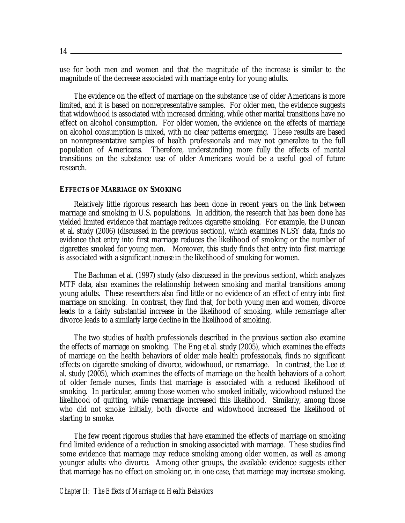14

use for both men and women and that the magnitude of the increase is similar to the magnitude of the decrease associated with marriage entry for young adults.

The evidence on the effect of marriage on the substance use of older Americans is more limited, and it is based on nonrepresentative samples. For older men, the evidence suggests that widowhood is associated with increased drinking, while other marital transitions have no effect on alcohol consumption. For older women, the evidence on the effects of marriage on alcohol consumption is mixed, with no clear patterns emerging. These results are based on nonrepresentative samples of health professionals and may not generalize to the full population of Americans. Therefore, understanding more fully the effects of marital transitions on the substance use of older Americans would be a useful goal of future research.

#### **EFFECTS OF MARRIAGE ON SMOKING**

 Relatively little rigorous research has been done in recent years on the link between marriage and smoking in U.S. populations. In addition, the research that has been done has yielded limited evidence that marriage reduces cigarette smoking. For example, the Duncan et al. study (2006) (discussed in the previous section), which examines NLSY data, finds no evidence that entry into first marriage reduces the likelihood of smoking or the number of cigarettes smoked for young men. Moreover, this study finds that entry into first marriage is associated with a significant *increase* in the likelihood of smoking for women.

 The Bachman et al. (1997) study (also discussed in the previous section), which analyzes MTF data, also examines the relationship between smoking and marital transitions among young adults. These researchers also find little or no evidence of an effect of entry into first marriage on smoking. In contrast, they find that, for both young men and women, divorce leads to a fairly substantial increase in the likelihood of smoking, while remarriage after divorce leads to a similarly large decline in the likelihood of smoking.

 The two studies of health professionals described in the previous section also examine the effects of marriage on smoking. The Eng et al. study (2005), which examines the effects of marriage on the health behaviors of older male health professionals, finds no significant effects on cigarette smoking of divorce, widowhood, or remarriage. In contrast, the Lee et al. study (2005), which examines the effects of marriage on the health behaviors of a cohort of older female nurses, finds that marriage is associated with a reduced likelihood of smoking. In particular, among those women who smoked initially, widowhood reduced the likelihood of quitting, while remarriage increased this likelihood. Similarly, among those who did not smoke initially, both divorce and widowhood increased the likelihood of starting to smoke.

 The few recent rigorous studies that have examined the effects of marriage on smoking find limited evidence of a reduction in smoking associated with marriage. These studies find some evidence that marriage may reduce smoking among older women, as well as among younger adults who divorce. Among other groups, the available evidence suggests either that marriage has no effect on smoking or, in one case, that marriage may increase smoking.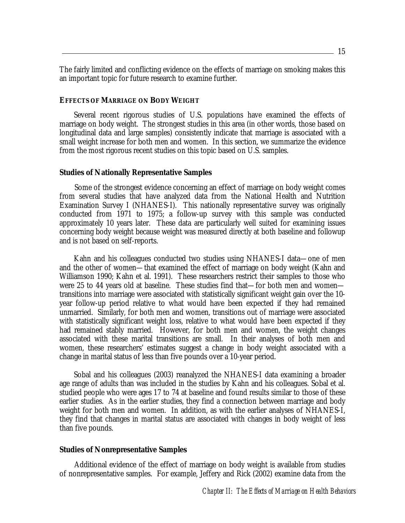The fairly limited and conflicting evidence on the effects of marriage on smoking makes this an important topic for future research to examine further.

#### **EFFECTS OF MARRIAGE ON BODY WEIGHT**

 Several recent rigorous studies of U.S. populations have examined the effects of marriage on body weight. The strongest studies in this area (in other words, those based on longitudinal data and large samples) consistently indicate that marriage is associated with a small weight increase for both men and women. In this section, we summarize the evidence from the most rigorous recent studies on this topic based on U.S. samples.

#### **Studies of Nationally Representative Samples**

Some of the strongest evidence concerning an effect of marriage on body weight comes from several studies that have analyzed data from the National Health and Nutrition Examination Survey I (NHANES-I). This nationally representative survey was originally conducted from 1971 to 1975; a follow-up survey with this sample was conducted approximately 10 years later. These data are particularly well suited for examining issues concerning body weight because weight was measured directly at both baseline and followup and is not based on self-reports.

 Kahn and his colleagues conducted two studies using NHANES-I data—one of men and the other of women—that examined the effect of marriage on body weight (Kahn and Williamson 1990; Kahn et al. 1991). These researchers restrict their samples to those who were 25 to 44 years old at baseline. These studies find that—for both men and women transitions into marriage were associated with statistically significant weight gain over the 10 year follow-up period relative to what would have been expected if they had remained unmarried. Similarly, for both men and women, transitions out of marriage were associated with statistically significant weight loss, relative to what would have been expected if they had remained stably married. However, for both men and women, the weight changes associated with these marital transitions are small. In their analyses of both men and women, these researchers' estimates suggest a change in body weight associated with a change in marital status of less than five pounds over a 10-year period.

 Sobal and his colleagues (2003) reanalyzed the NHANES-I data examining a broader age range of adults than was included in the studies by Kahn and his colleagues. Sobal et al. studied people who were ages 17 to 74 at baseline and found results similar to those of these earlier studies. As in the earlier studies, they find a connection between marriage and body weight for both men and women. In addition, as with the earlier analyses of NHANES-I, they find that changes in marital status are associated with changes in body weight of less than five pounds.

#### **Studies of Nonrepresentative Samples**

Additional evidence of the effect of marriage on body weight is available from studies of nonrepresentative samples. For example, Jeffery and Rick (2002) examine data from the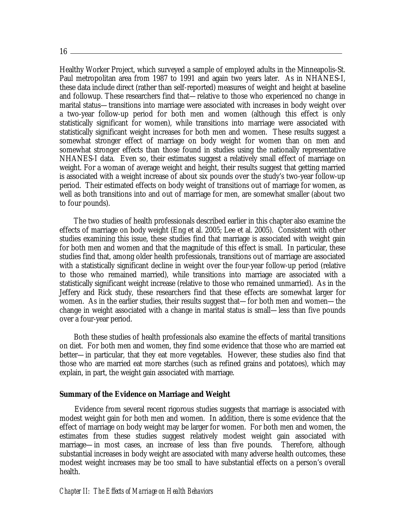Healthy Worker Project, which surveyed a sample of employed adults in the Minneapolis-St. Paul metropolitan area from 1987 to 1991 and again two years later. As in NHANES-I, these data include direct (rather than self-reported) measures of weight and height at baseline and followup. These researchers find that—relative to those who experienced no change in marital status—transitions into marriage were associated with increases in body weight over a two-year follow-up period for both men and women (although this effect is only statistically significant for women), while transitions into marriage were associated with statistically significant weight increases for both men and women. These results suggest a somewhat stronger effect of marriage on body weight for women than on men and somewhat stronger effects than those found in studies using the nationally representative NHANES-I data. Even so, their estimates suggest a relatively small effect of marriage on weight. For a woman of average weight and height, their results suggest that getting married is associated with a weight increase of about six pounds over the study's two-year follow-up period. Their estimated effects on body weight of transitions out of marriage for women, as well as both transitions into and out of marriage for men, are somewhat smaller (about two to four pounds).

 The two studies of health professionals described earlier in this chapter also examine the effects of marriage on body weight (Eng et al. 2005; Lee et al. 2005). Consistent with other studies examining this issue, these studies find that marriage is associated with weight gain for both men and women and that the magnitude of this effect is small. In particular, these studies find that, among older health professionals, transitions out of marriage are associated with a statistically significant decline in weight over the four-year follow-up period (relative to those who remained married), while transitions into marriage are associated with a statistically significant weight increase (relative to those who remained unmarried). As in the Jeffery and Rick study, these researchers find that these effects are somewhat larger for women. As in the earlier studies, their results suggest that—for both men and women—the change in weight associated with a change in marital status is small—less than five pounds over a four-year period.

 Both these studies of health professionals also examine the effects of marital transitions on diet. For both men and women, they find some evidence that those who are married eat better—in particular, that they eat more vegetables. However, these studies also find that those who are married eat more starches (such as refined grains and potatoes), which may explain, in part, the weight gain associated with marriage.

#### **Summary of the Evidence on Marriage and Weight**

Evidence from several recent rigorous studies suggests that marriage is associated with modest weight gain for both men and women. In addition, there is some evidence that the effect of marriage on body weight may be larger for women. For both men and women, the estimates from these studies suggest relatively modest weight gain associated with marriage—in most cases, an increase of less than five pounds. Therefore, although substantial increases in body weight are associated with many adverse health outcomes, these modest weight increases may be too small to have substantial effects on a person's overall health.

#### *Chapter II: The Effects of Marriage on Health Behaviors*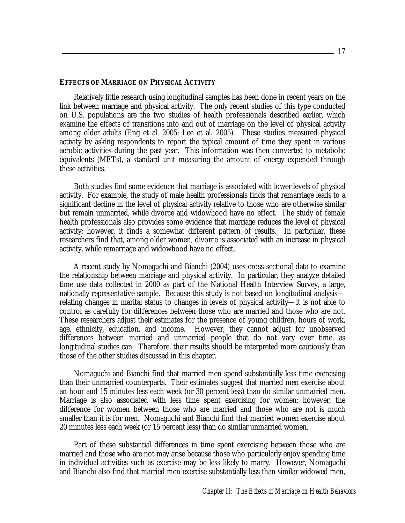#### **EFFECTS OF MARRIAGE ON PHYSICAL ACTIVITY**

 Relatively little research using longitudinal samples has been done in recent years on the link between marriage and physical activity. The only recent studies of this type conducted on U.S. populations are the two studies of health professionals described earlier, which examine the effects of transitions into and out of marriage on the level of physical activity among older adults (Eng et al. 2005; Lee et al. 2005). These studies measured physical activity by asking respondents to report the typical amount of time they spent in various aerobic activities during the past year. This information was then converted to metabolic equivalents (METs), a standard unit measuring the amount of energy expended through these activities.

 Both studies find some evidence that marriage is associated with lower levels of physical activity. For example, the study of male health professionals finds that remarriage leads to a significant decline in the level of physical activity relative to those who are otherwise similar but remain unmarried, while divorce and widowhood have no effect. The study of female health professionals also provides some evidence that marriage reduces the level of physical activity; however, it finds a somewhat different pattern of results. In particular, these researchers find that, among older women, divorce is associated with an increase in physical activity, while remarriage and widowhood have no effect.

 A recent study by Nomaguchi and Bianchi (2004) uses cross-sectional data to examine the relationship between marriage and physical activity. In particular, they analyze detailed time use data collected in 2000 as part of the National Health Interview Survey, a large, nationally representative sample. Because this study is not based on longitudinal analysis relating changes in marital status to changes in levels of physical activity—it is not able to control as carefully for differences between those who are married and those who are not. These researchers adjust their estimates for the presence of young children, hours of work, age, ethnicity, education, and income. However, they cannot adjust for unobserved differences between married and unmarried people that do not vary over time, as longitudinal studies can. Therefore, their results should be interpreted more cautiously than those of the other studies discussed in this chapter.

 Nomaguchi and Bianchi find that married men spend substantially less time exercising than their unmarried counterparts. Their estimates suggest that married men exercise about an hour and 15 minutes less each week (or 30 percent less) than do similar unmarried men. Marriage is also associated with less time spent exercising for women; however, the difference for women between those who are married and those who are not is much smaller than it is for men. Nomaguchi and Bianchi find that married women exercise about 20 minutes less each week (or 15 percent less) than do similar unmarried women.

 Part of these substantial differences in time spent exercising between those who are married and those who are not may arise because those who particularly enjoy spending time in individual activities such as exercise may be less likely to marry. However, Nomaguchi and Bianchi also find that married men exercise substantially less than similar widowed men,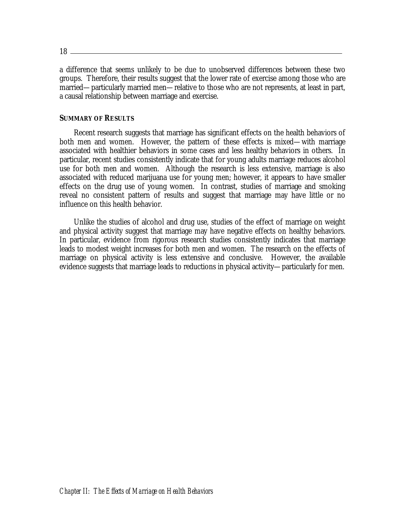$18 \equiv$ 

a difference that seems unlikely to be due to unobserved differences between these two groups. Therefore, their results suggest that the lower rate of exercise among those who are married—particularly married men—relative to those who are not represents, at least in part, a causal relationship between marriage and exercise.

#### **SUMMARY OF RESULTS**

 Recent research suggests that marriage has significant effects on the health behaviors of both men and women. However, the pattern of these effects is mixed—with marriage associated with healthier behaviors in some cases and less healthy behaviors in others. In particular, recent studies consistently indicate that for young adults marriage reduces alcohol use for both men and women. Although the research is less extensive, marriage is also associated with reduced marijuana use for young men; however, it appears to have smaller effects on the drug use of young women. In contrast, studies of marriage and smoking reveal no consistent pattern of results and suggest that marriage may have little or no influence on this health behavior.

 Unlike the studies of alcohol and drug use, studies of the effect of marriage on weight and physical activity suggest that marriage may have negative effects on healthy behaviors. In particular, evidence from rigorous research studies consistently indicates that marriage leads to modest weight increases for both men and women. The research on the effects of marriage on physical activity is less extensive and conclusive. However, the available evidence suggests that marriage leads to reductions in physical activity—particularly for men.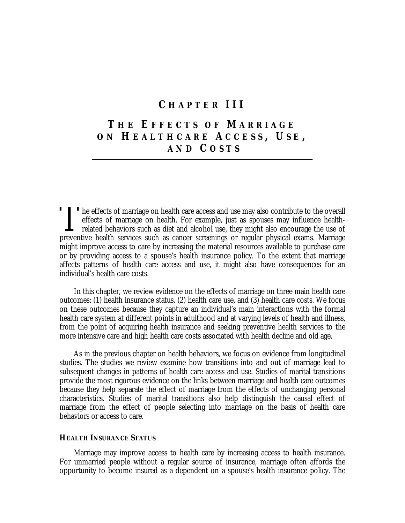### **C HAPTER III**

# **T HE E FFECTS OF M ARRIAGE ON H EALTHCARE A CCESS , U S E , AND C OSTS**

T<br>
The effects of marriage on health care access and use may also contribute to the overall<br>
offects of marriage on health For symple, just as approach in fluores health effects of marriage on health. For example, just as spouses may influence healthrelated behaviors such as diet and alcohol use, they might also encourage the use of preventive health services such as cancer screenings or regular physical exams. Marriage might improve access to care by increasing the material resources available to purchase care or by providing access to a spouse's health insurance policy. To the extent that marriage affects patterns of health care access and use, it might also have consequences for an individual's health care costs. **T** 

 In this chapter, we review evidence on the effects of marriage on three main health care outcomes: (1) health insurance status, (2) health care use, and (3) health care costs. We focus on these outcomes because they capture an individual's main interactions with the formal health care system at different points in adulthood and at varying levels of health and illness, from the point of acquiring health insurance and seeking preventive health services to the more intensive care and high health care costs associated with health decline and old age.

 As in the previous chapter on health behaviors, we focus on evidence from longitudinal studies. The studies we review examine how transitions into and out of marriage lead to subsequent changes in patterns of health care access and use. Studies of marital transitions provide the most rigorous evidence on the links between marriage and health care outcomes because they help separate the effect of marriage from the effects of unchanging personal characteristics. Studies of marital transitions also help distinguish the causal effect of marriage from the effect of people selecting into marriage on the basis of health care behaviors or access to care.

#### **HEALTH INSURANCE STATUS**

 Marriage may improve access to health care by increasing access to health insurance. For unmarried people without a regular source of insurance, marriage often affords the opportunity to become insured as a dependent on a spouse's health insurance policy. The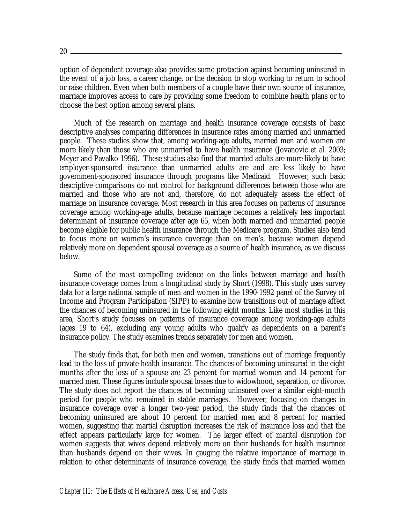$20 -$ 

option of dependent coverage also provides some protection against becoming uninsured in the event of a job loss, a career change, or the decision to stop working to return to school or raise children. Even when both members of a couple have their own source of insurance, marriage improves access to care by providing some freedom to combine health plans or to choose the best option among several plans.

 Much of the research on marriage and health insurance coverage consists of basic descriptive analyses comparing differences in insurance rates among married and unmarried people. These studies show that, among working-age adults, married men and women are more likely than those who are unmarried to have health insurance (Jovanovic et al. 2003; Meyer and Pavalko 1996). These studies also find that married adults are more likely to have employer-sponsored insurance than unmarried adults are and are less likely to have government-sponsored insurance through programs like Medicaid. However, such basic descriptive comparisons do not control for background differences between those who are married and those who are not and, therefore, do not adequately assess the effect of marriage on insurance coverage. Most research in this area focuses on patterns of insurance coverage among working-age adults, because marriage becomes a relatively less important determinant of insurance coverage after age 65, when both married and unmarried people become eligible for public health insurance through the Medicare program. Studies also tend to focus more on women's insurance coverage than on men's, because women depend relatively more on dependent spousal coverage as a source of health insurance, as we discuss below.

 Some of the most compelling evidence on the links between marriage and health insurance coverage comes from a longitudinal study by Short (1998). This study uses survey data for a large national sample of men and women in the 1990-1992 panel of the Survey of Income and Program Participation (SIPP) to examine how transitions out of marriage affect the chances of becoming uninsured in the following eight months. Like most studies in this area, Short's study focuses on patterns of insurance coverage among working-age adults (ages 19 to 64), excluding any young adults who qualify as dependents on a parent's insurance policy. The study examines trends separately for men and women.

 The study finds that, for both men and women, transitions out of marriage frequently lead to the loss of private health insurance. The chances of becoming uninsured in the eight months after the loss of a spouse are 23 percent for married women and 14 percent for married men. These figures include spousal losses due to widowhood, separation, or divorce. The study does not report the chances of becoming uninsured over a similar eight-month period for people who remained in stable marriages. However, focusing on changes in insurance coverage over a longer two-year period, the study finds that the chances of becoming uninsured are about 10 percent for married men and 8 percent for married women, suggesting that martial disruption increases the risk of insurance loss and that the effect appears particularly large for women. The larger effect of marital disruption for women suggests that wives depend relatively more on their husbands for health insurance than husbands depend on their wives. In gauging the relative importance of marriage in relation to other determinants of insurance coverage, the study finds that married women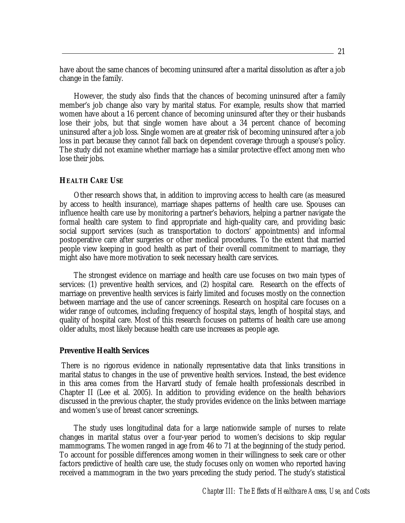have about the same chances of becoming uninsured after a marital dissolution as after a job change in the family.

 However, the study also finds that the chances of becoming uninsured after a family member's job change also vary by marital status. For example, results show that married women have about a 16 percent chance of becoming uninsured after they or their husbands lose their jobs, but that single women have about a 34 percent chance of becoming uninsured after a job loss. Single women are at greater risk of becoming uninsured after a job loss in part because they cannot fall back on dependent coverage through a spouse's policy. The study did not examine whether marriage has a similar protective effect among men who lose their jobs.

#### **HEALTH CARE USE**

 Other research shows that, in addition to improving access to health care (as measured by access to health insurance), marriage shapes patterns of health care use. Spouses can influence health care use by monitoring a partner's behaviors, helping a partner navigate the formal health care system to find appropriate and high-quality care, and providing basic social support services (such as transportation to doctors' appointments) and informal postoperative care after surgeries or other medical procedures. To the extent that married people view keeping in good health as part of their overall commitment to marriage, they might also have more motivation to seek necessary health care services.

 The strongest evidence on marriage and health care use focuses on two main types of services: (1) preventive health services, and (2) hospital care. Research on the effects of marriage on preventive health services is fairly limited and focuses mostly on the connection between marriage and the use of cancer screenings. Research on hospital care focuses on a wider range of outcomes, including frequency of hospital stays, length of hospital stays, and quality of hospital care. Most of this research focuses on patterns of health care use among older adults, most likely because health care use increases as people age.

#### **Preventive Health Services**

There is no rigorous evidence in nationally representative data that links transitions in marital status to changes in the use of preventive health services. Instead, the best evidence in this area comes from the Harvard study of female health professionals described in Chapter II (Lee et al. 2005). In addition to providing evidence on the health behaviors discussed in the previous chapter, the study provides evidence on the links between marriage and women's use of breast cancer screenings.

 The study uses longitudinal data for a large nationwide sample of nurses to relate changes in marital status over a four-year period to women's decisions to skip regular mammograms. The women ranged in age from 46 to 71 at the beginning of the study period. To account for possible differences among women in their willingness to seek care or other factors predictive of health care use, the study focuses only on women who reported having received a mammogram in the two years preceding the study period. The study's statistical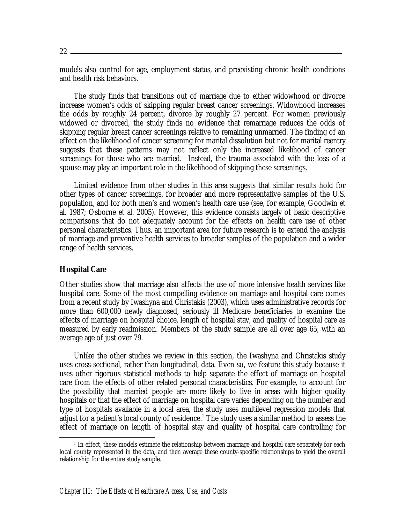models also control for age, employment status, and preexisting chronic health conditions and health risk behaviors.

 The study finds that transitions out of marriage due to either widowhood or divorce increase women's odds of skipping regular breast cancer screenings. Widowhood increases the odds by roughly 24 percent, divorce by roughly 27 percent. For women previously widowed or divorced, the study finds no evidence that remarriage reduces the odds of skipping regular breast cancer screenings relative to remaining unmarried. The finding of an effect on the likelihood of cancer screening for marital dissolution but not for marital reentry suggests that these patterns may not reflect only the increased likelihood of cancer screenings for those who are married. Instead, the trauma associated with the loss of a spouse may play an important role in the likelihood of skipping these screenings.

 Limited evidence from other studies in this area suggests that similar results hold for other types of cancer screenings, for broader and more representative samples of the U.S. population, and for both men's and women's health care use (see, for example, Goodwin et al. 1987; Osborne et al. 2005). However, this evidence consists largely of basic descriptive comparisons that do not adequately account for the effects on health care use of other personal characteristics. Thus, an important area for future research is to extend the analysis of marriage and preventive health services to broader samples of the population and a wider range of health services.

#### **Hospital Care**

<u>.</u>

Other studies show that marriage also affects the use of more intensive health services like hospital care. Some of the most compelling evidence on marriage and hospital care comes from a recent study by Iwashyna and Christakis (2003), which uses administrative records for more than 600,000 newly diagnosed, seriously ill Medicare beneficiaries to examine the effects of marriage on hospital choice, length of hospital stay, and quality of hospital care as measured by early readmission. Members of the study sample are all over age 65, with an average age of just over 79.

 Unlike the other studies we review in this section, the Iwashyna and Christakis study uses cross-sectional, rather than longitudinal, data. Even so, we feature this study because it uses other rigorous statistical methods to help separate the effect of marriage on hospital care from the effects of other related personal characteristics. For example, to account for the possibility that married people are more likely to live in areas with higher quality hospitals or that the effect of marriage on hospital care varies depending on the number and type of hospitals available in a local area, the study uses multilevel regression models that adjust for a patient's local county of residence.<sup>1</sup> The study uses a similar method to assess the effect of marriage on length of hospital stay and quality of hospital care controlling for

 $1$  In effect, these models estimate the relationship between marriage and hospital care separately for each local county represented in the data, and then average these county-specific relationships to yield the overall relationship for the entire study sample.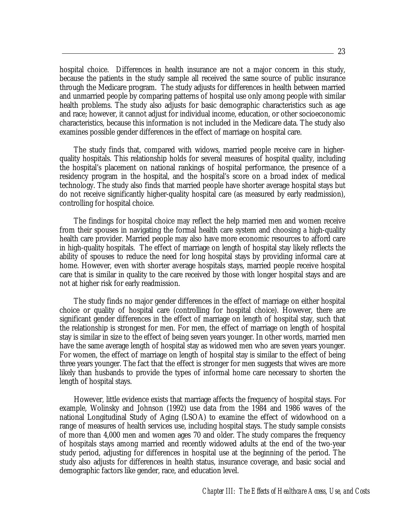hospital choice. Differences in health insurance are not a major concern in this study, because the patients in the study sample all received the same source of public insurance through the Medicare program. The study adjusts for differences in health between married and unmarried people by comparing patterns of hospital use only among people with similar health problems. The study also adjusts for basic demographic characteristics such as age and race; however, it cannot adjust for individual income, education, or other socioeconomic characteristics, because this information is not included in the Medicare data. The study also examines possible gender differences in the effect of marriage on hospital care.

 The study finds that, compared with widows, married people receive care in higherquality hospitals. This relationship holds for several measures of hospital quality, including the hospital's placement on national rankings of hospital performance, the presence of a residency program in the hospital, and the hospital's score on a broad index of medical technology. The study also finds that married people have shorter average hospital stays but do not receive significantly higher-quality hospital care (as measured by early readmission), controlling for hospital choice.

 The findings for hospital choice may reflect the help married men and women receive from their spouses in navigating the formal health care system and choosing a high-quality health care provider. Married people may also have more economic resources to afford care in high-quality hospitals. The effect of marriage on length of hospital stay likely reflects the ability of spouses to reduce the need for long hospital stays by providing informal care at home. However, even with shorter average hospitals stays, married people receive hospital care that is similar in quality to the care received by those with longer hospital stays and are not at higher risk for early readmission.

 The study finds no major gender differences in the effect of marriage on either hospital choice or quality of hospital care (controlling for hospital choice). However, there are significant gender differences in the effect of marriage on length of hospital stay, such that the relationship is strongest for men. For men, the effect of marriage on length of hospital stay is similar in size to the effect of being seven years younger. In other words, married men have the same average length of hospital stay as widowed men who are seven years younger. For women, the effect of marriage on length of hospital stay is similar to the effect of being three years younger. The fact that the effect is stronger for men suggests that wives are more likely than husbands to provide the types of informal home care necessary to shorten the length of hospital stays.

 However, little evidence exists that marriage affects the frequency of hospital stays. For example, Wolinsky and Johnson (1992) use data from the 1984 and 1986 waves of the national Longitudinal Study of Aging (LSOA) to examine the effect of widowhood on a range of measures of health services use, including hospital stays. The study sample consists of more than 4,000 men and women ages 70 and older. The study compares the frequency of hospitals stays among married and recently widowed adults at the end of the two-year study period, adjusting for differences in hospital use at the beginning of the period. The study also adjusts for differences in health status, insurance coverage, and basic social and demographic factors like gender, race, and education level.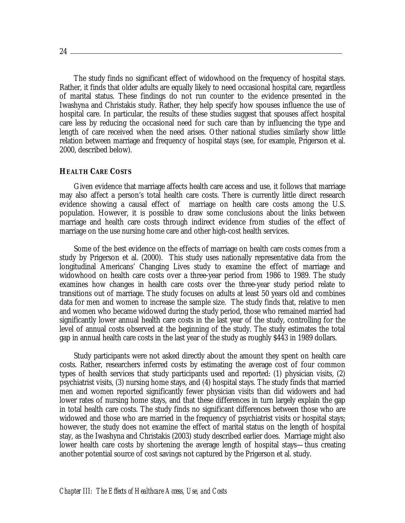The study finds no significant effect of widowhood on the frequency of hospital stays. Rather, it finds that older adults are equally likely to need occasional hospital care, regardless of marital status. These findings do not run counter to the evidence presented in the Iwashyna and Christakis study. Rather, they help specify how spouses influence the use of hospital care. In particular, the results of these studies suggest that spouses affect hospital care less by reducing the occasional need for such care than by influencing the type and length of care received when the need arises. Other national studies similarly show little relation between marriage and frequency of hospital stays (see, for example, Prigerson et al. 2000, described below).

#### **HEALTH CARE COSTS**

 Given evidence that marriage affects health care access and use, it follows that marriage may also affect a person's total health care costs. There is currently little direct research evidence showing a causal effect of marriage on health care costs among the U.S. population. However, it is possible to draw some conclusions about the links between marriage and health care costs through indirect evidence from studies of the effect of marriage on the use nursing home care and other high-cost health services.

 Some of the best evidence on the effects of marriage on health care costs comes from a study by Prigerson et al. (2000). This study uses nationally representative data from the longitudinal Americans' Changing Lives study to examine the effect of marriage and widowhood on health care costs over a three-year period from 1986 to 1989. The study examines how changes in health care costs over the three-year study period relate to transitions out of marriage. The study focuses on adults at least 50 years old and combines data for men and women to increase the sample size. The study finds that, relative to men and women who became widowed during the study period, those who remained married had significantly lower annual health care costs in the last year of the study, controlling for the level of annual costs observed at the beginning of the study. The study estimates the total gap in annual health care costs in the last year of the study as roughly \$443 in 1989 dollars.

 Study participants were not asked directly about the amount they spent on health care costs. Rather, researchers inferred costs by estimating the average cost of four common types of health services that study participants used and reported: (1) physician visits, (2) psychiatrist visits, (3) nursing home stays, and (4) hospital stays. The study finds that married men and women reported significantly fewer physician visits than did widowers and had lower rates of nursing home stays, and that these differences in turn largely explain the gap in total health care costs. The study finds no significant differences between those who are widowed and those who are married in the frequency of psychiatrist visits or hospital stays; however, the study does not examine the effect of marital status on the length of hospital stay, as the Iwashyna and Christakis (2003) study described earlier does. Marriage might also lower health care costs by shortening the average length of hospital stays—thus creating another potential source of cost savings not captured by the Prigerson et al. study.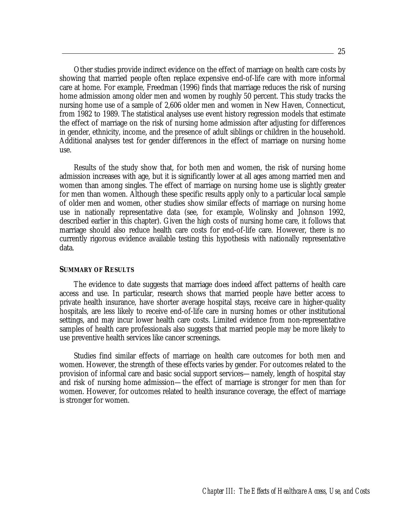Other studies provide indirect evidence on the effect of marriage on health care costs by showing that married people often replace expensive end-of-life care with more informal care at home. For example, Freedman (1996) finds that marriage reduces the risk of nursing home admission among older men and women by roughly 50 percent. This study tracks the nursing home use of a sample of 2,606 older men and women in New Haven, Connecticut, from 1982 to 1989. The statistical analyses use event history regression models that estimate the effect of marriage on the risk of nursing home admission after adjusting for differences in gender, ethnicity, income, and the presence of adult siblings or children in the household. Additional analyses test for gender differences in the effect of marriage on nursing home use.

 Results of the study show that, for both men and women, the risk of nursing home admission increases with age, but it is significantly lower at all ages among married men and women than among singles. The effect of marriage on nursing home use is slightly greater for men than women. Although these specific results apply only to a particular local sample of older men and women, other studies show similar effects of marriage on nursing home use in nationally representative data (see, for example, Wolinsky and Johnson 1992, described earlier in this chapter). Given the high costs of nursing home care, it follows that marriage should also reduce health care costs for end-of-life care. However, there is no currently rigorous evidence available testing this hypothesis with nationally representative data.

#### **SUMMARY OF RESULTS**

 The evidence to date suggests that marriage does indeed affect patterns of health care access and use. In particular, research shows that married people have better access to private health insurance, have shorter average hospital stays, receive care in higher-quality hospitals, are less likely to receive end-of-life care in nursing homes or other institutional settings, and may incur lower health care costs. Limited evidence from non-representative samples of health care professionals also suggests that married people may be more likely to use preventive health services like cancer screenings.

 Studies find similar effects of marriage on health care outcomes for both men and women. However, the strength of these effects varies by gender. For outcomes related to the provision of informal care and basic social support services—namely, length of hospital stay and risk of nursing home admission—the effect of marriage is stronger for men than for women. However, for outcomes related to health insurance coverage, the effect of marriage is stronger for women.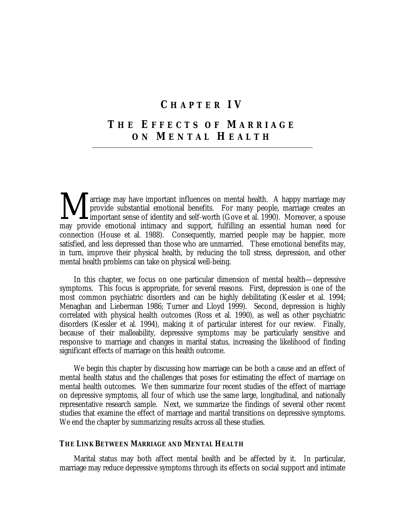### **C HAPTER IV**

# **T HE E FFECTS OF M ARRIAGE ON M ENTAL H EALTH**

arriage may have important influences on mental health. A happy marriage may provide substantial emotional benefits. For many people, marriage creates an important sense of identity and self-worth (Gove et al. 1990). Moreover, a spouse may provide emotional intimacy and support, fulfilling an essential human need for connection (House et al. 1988). Consequently, married people may be happier, more satisfied, and less depressed than those who are unmarried. These emotional benefits may, in turn, improve their physical health, by reducing the toll stress, depression, and other mental health problems can take on physical well-being. M

In this chapter, we focus on one particular dimension of mental health—depressive symptoms. This focus is appropriate, for several reasons. First, depression is one of the most common psychiatric disorders and can be highly debilitating (Kessler et al. 1994; Menaghan and Lieberman 1986; Turner and Lloyd 1999). Second, depression is highly correlated with physical health outcomes (Ross et al. 1990), as well as other psychiatric disorders (Kessler et al. 1994), making it of particular interest for our review. Finally, because of their malleability, depressive symptoms may be particularly sensitive and responsive to marriage and changes in marital status, increasing the likelihood of finding significant effects of marriage on this health outcome.

We begin this chapter by discussing how marriage can be both a cause and an effect of mental health status and the challenges that poses for estimating the effect of marriage on mental health outcomes. We then summarize four recent studies of the effect of marriage on depressive symptoms, all four of which use the same large, longitudinal, and nationally representative research sample. Next, we summarize the findings of several other recent studies that examine the effect of marriage and marital transitions on depressive symptoms. We end the chapter by summarizing results across all these studies.

#### **THE LINK BETWEEN MARRIAGE AND MENTAL HEALTH**

Marital status may both affect mental health and be affected by it. In particular, marriage may reduce depressive symptoms through its effects on social support and intimate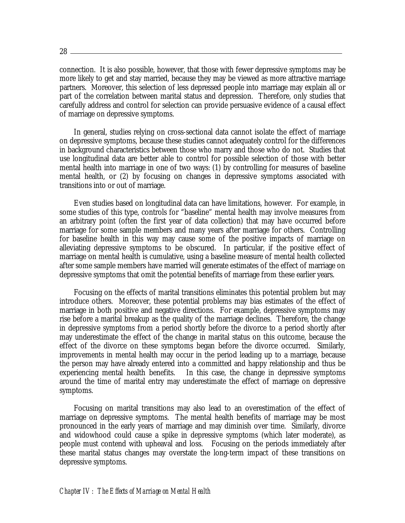connection. It is also possible, however, that those with fewer depressive symptoms may be more likely to get and stay married, because they may be viewed as more attractive marriage partners. Moreover, this selection of less depressed people into marriage may explain all or part of the correlation between marital status and depression. Therefore, only studies that carefully address and control for selection can provide persuasive evidence of a causal effect of marriage on depressive symptoms.

In general, studies relying on cross-sectional data cannot isolate the effect of marriage on depressive symptoms, because these studies cannot adequately control for the differences in background characteristics between those who marry and those who do not. Studies that use longitudinal data are better able to control for possible selection of those with better mental health into marriage in one of two ways: (1) by controlling for measures of baseline mental health, or (2) by focusing on changes in depressive symptoms associated with transitions into or out of marriage.

Even studies based on longitudinal data can have limitations, however. For example, in some studies of this type, controls for "baseline" mental health may involve measures from an arbitrary point (often the first year of data collection) that may have occurred before marriage for some sample members and many years after marriage for others. Controlling for baseline health in this way may cause some of the positive impacts of marriage on alleviating depressive symptoms to be obscured. In particular, if the positive effect of marriage on mental health is cumulative, using a baseline measure of mental health collected after some sample members have married will generate estimates of the effect of marriage on depressive symptoms that omit the potential benefits of marriage from these earlier years.

 Focusing on the effects of marital transitions eliminates this potential problem but may introduce others. Moreover, these potential problems may bias estimates of the effect of marriage in both positive and negative directions. For example, depressive symptoms may rise before a marital breakup as the quality of the marriage declines. Therefore, the change in depressive symptoms from a period shortly before the divorce to a period shortly after may underestimate the effect of the change in marital status on this outcome, because the effect of the divorce on these symptoms began before the divorce occurred. Similarly, improvements in mental health may occur in the period leading up to a marriage, because the person may have already entered into a committed and happy relationship and thus be experiencing mental health benefits. In this case, the change in depressive symptoms around the time of marital entry may underestimate the effect of marriage on depressive symptoms.

 Focusing on marital transitions may also lead to an overestimation of the effect of marriage on depressive symptoms. The mental health benefits of marriage may be most pronounced in the early years of marriage and may diminish over time. Similarly, divorce and widowhood could cause a spike in depressive symptoms (which later moderate), as people must contend with upheaval and loss. Focusing on the periods immediately after these marital status changes may overstate the long-term impact of these transitions on depressive symptoms.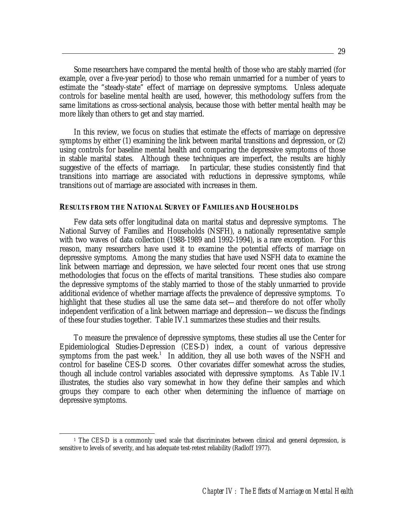Some researchers have compared the mental health of those who are stably married (for example, over a five-year period) to those who remain unmarried for a number of years to estimate the "steady-state" effect of marriage on depressive symptoms. Unless adequate controls for baseline mental health are used, however, this methodology suffers from the same limitations as cross-sectional analysis, because those with better mental health may be more likely than others to get and stay married.

 In this review, we focus on studies that estimate the effects of marriage on depressive symptoms by either (1) examining the link between marital transitions and depression, or (2) using controls for baseline mental health and comparing the depressive symptoms of those in stable marital states. Although these techniques are imperfect, the results are highly suggestive of the effects of marriage. In particular, these studies consistently find that transitions into marriage are associated with reductions in depressive symptoms, while transitions out of marriage are associated with increases in them.

#### **RESULTS FROM THE NATIONAL SURVEY OF FAMILIES AND HOUSEHOLDS**

 Few data sets offer longitudinal data on marital status and depressive symptoms. The National Survey of Families and Households (NSFH), a nationally representative sample with two waves of data collection (1988-1989 and 1992-1994), is a rare exception. For this reason, many researchers have used it to examine the potential effects of marriage on depressive symptoms. Among the many studies that have used NSFH data to examine the link between marriage and depression, we have selected four recent ones that use strong methodologies that focus on the effects of marital transitions. These studies also compare the depressive symptoms of the stably married to those of the stably unmarried to provide additional evidence of whether marriage affects the prevalence of depressive symptoms. To highlight that these studies all use the same data set—and therefore do not offer wholly independent verification of a link between marriage and depression—we discuss the findings of these four studies together. Table IV.1 summarizes these studies and their results.

 To measure the prevalence of depressive symptoms, these studies all use the Center for Epidemiological Studies-Depression (CES-D) index, a count of various depressive symptoms from the past week.<sup>1</sup> In addition, they all use both waves of the NSFH and control for baseline CES-D scores. Other covariates differ somewhat across the studies, though all include control variables associated with depressive symptoms. As Table IV.1 illustrates, the studies also vary somewhat in how they define their samples and which groups they compare to each other when determining the influence of marriage on depressive symptoms.

<u>.</u>

<sup>&</sup>lt;sup>1</sup> The CES-D is a commonly used scale that discriminates between clinical and general depression, is sensitive to levels of severity, and has adequate test-retest reliability (Radloff 1977).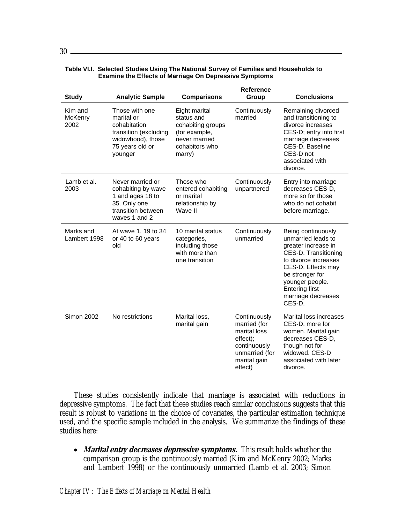| <b>Study</b>               | <b>Analytic Sample</b>                                                                                                   | <b>Comparisons</b>                                                                                             | <b>Reference</b><br>Group                                                                                             | <b>Conclusions</b>                                                                                                                                                                                                                   |
|----------------------------|--------------------------------------------------------------------------------------------------------------------------|----------------------------------------------------------------------------------------------------------------|-----------------------------------------------------------------------------------------------------------------------|--------------------------------------------------------------------------------------------------------------------------------------------------------------------------------------------------------------------------------------|
| Kim and<br>McKenry<br>2002 | Those with one<br>marital or<br>cohabitation<br>transition (excluding<br>widowhood), those<br>75 years old or<br>younger | Eight marital<br>status and<br>cohabiting groups<br>(for example,<br>never married<br>cohabitors who<br>marry) | Continuously<br>married                                                                                               | Remaining divorced<br>and transitioning to<br>divorce increases<br>CES-D; entry into first<br>marriage decreases<br>CES-D. Baseline<br>CES-D not<br>associated with<br>divorce.                                                      |
| Lamb et al.<br>2003        | Never married or<br>cohabiting by wave<br>1 and ages 18 to<br>35. Only one<br>transition between<br>waves 1 and 2        | Those who<br>entered cohabiting<br>or marital<br>relationship by<br>Wave II                                    | Continuously<br>unpartnered                                                                                           | Entry into marriage<br>decreases CES-D,<br>more so for those<br>who do not cohabit<br>before marriage.                                                                                                                               |
| Marks and<br>Lambert 1998  | At wave 1, 19 to 34<br>or 40 to 60 years<br>old                                                                          | 10 marital status<br>categories,<br>including those<br>with more than<br>one transition                        | Continuously<br>unmarried                                                                                             | Being continuously<br>unmarried leads to<br>greater increase in<br>CES-D. Transitioning<br>to divorce increases<br>CES-D. Effects may<br>be stronger for<br>younger people.<br><b>Entering first</b><br>marriage decreases<br>CES-D. |
| <b>Simon 2002</b>          | No restrictions                                                                                                          | Marital loss,<br>marital gain                                                                                  | Continuously<br>married (for<br>marital loss<br>effect);<br>continuously<br>unmarried (for<br>marital gain<br>effect) | Marital loss increases<br>CES-D, more for<br>women. Marital gain<br>decreases CES-D.<br>though not for<br>widowed. CES-D<br>associated with later<br>divorce.                                                                        |

#### **Table VI.I. Selected Studies Using The National Survey of Families and Households to Examine the Effects of Marriage On Depressive Symptoms**

 These studies consistently indicate that marriage is associated with reductions in depressive symptoms. The fact that these studies reach similar conclusions suggests that this result is robust to variations in the choice of covariates, the particular estimation technique used, and the specific sample included in the analysis. We summarize the findings of these studies here:

• *Marital entry decreases depressive symptoms.* This result holds whether the comparison group is the continuously married (Kim and McKenry 2002; Marks and Lambert 1998) or the continuously unmarried (Lamb et al. 2003; Simon

 $30 -$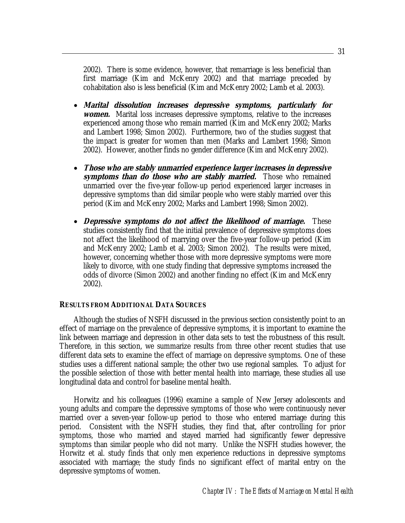2002). There is some evidence, however, that remarriage is less beneficial than first marriage (Kim and McKenry 2002) and that marriage preceded by cohabitation also is less beneficial (Kim and McKenry 2002; Lamb et al. 2003).

- **Marital dissolution increases depressive symptoms, particularly for**  *women.* Marital loss increases depressive symptoms, relative to the increases experienced among those who remain married (Kim and McKenry 2002; Marks and Lambert 1998; Simon 2002). Furthermore, two of the studies suggest that the impact is greater for women than men (Marks and Lambert 1998; Simon 2002). However, another finds no gender difference (Kim and McKenry 2002).
- **Those who are stably unmarried experience larger increases in depressive symptoms than do those who are stably married.** Those who remained unmarried over the five-year follow-up period experienced larger increases in depressive symptoms than did similar people who were stably married over this period (Kim and McKenry 2002; Marks and Lambert 1998; Simon 2002).
- **Depressive symptoms do not affect the likelihood of marriage.** These studies consistently find that the initial prevalence of depressive symptoms does not affect the likelihood of marrying over the five-year follow-up period (Kim and McKenry 2002; Lamb et al. 2003; Simon 2002). The results were mixed, however, concerning whether those with more depressive symptoms were more likely to divorce, with one study finding that depressive symptoms increased the odds of divorce (Simon 2002) and another finding no effect (Kim and McKenry 2002).

#### **RESULTS FROM ADDITIONAL DATA SOURCES**

 Although the studies of NSFH discussed in the previous section consistently point to an effect of marriage on the prevalence of depressive symptoms, it is important to examine the link between marriage and depression in other data sets to test the robustness of this result. Therefore, in this section, we summarize results from three other recent studies that use different data sets to examine the effect of marriage on depressive symptoms. One of these studies uses a different national sample; the other two use regional samples. To adjust for the possible selection of those with better mental health into marriage, these studies all use longitudinal data and control for baseline mental health.

 Horwitz and his colleagues (1996) examine a sample of New Jersey adolescents and young adults and compare the depressive symptoms of those who were continuously never married over a seven-year follow-up period to those who entered marriage during this period. Consistent with the NSFH studies, they find that, after controlling for prior symptoms, those who married and stayed married had significantly fewer depressive symptoms than similar people who did not marry. Unlike the NSFH studies however, the Horwitz et al. study finds that only men experience reductions in depressive symptoms associated with marriage; the study finds no significant effect of marital entry on the depressive symptoms of women.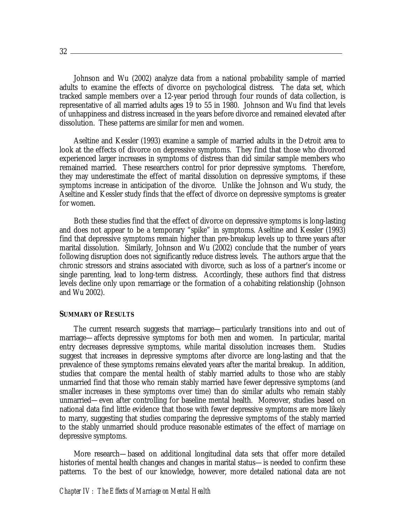Johnson and Wu (2002) analyze data from a national probability sample of married adults to examine the effects of divorce on psychological distress. The data set, which tracked sample members over a 12-year period through four rounds of data collection, is representative of all married adults ages 19 to 55 in 1980. Johnson and Wu find that levels of unhappiness and distress increased in the years before divorce and remained elevated after dissolution. These patterns are similar for men and women.

 Aseltine and Kessler (1993) examine a sample of married adults in the Detroit area to look at the effects of divorce on depressive symptoms. They find that those who divorced experienced larger increases in symptoms of distress than did similar sample members who remained married. These researchers control for prior depressive symptoms. Therefore, they may underestimate the effect of marital dissolution on depressive symptoms, if these symptoms increase in anticipation of the divorce. Unlike the Johnson and Wu study, the Aseltine and Kessler study finds that the effect of divorce on depressive symptoms is greater for women.

 Both these studies find that the effect of divorce on depressive symptoms is long-lasting and does not appear to be a temporary "spike" in symptoms. Aseltine and Kessler (1993) find that depressive symptoms remain higher than pre-breakup levels up to three years after marital dissolution. Similarly, Johnson and Wu (2002) conclude that the number of years following disruption does not significantly reduce distress levels. The authors argue that the chronic stressors and strains associated with divorce, such as loss of a partner's income or single parenting, lead to long-term distress. Accordingly, these authors find that distress levels decline only upon remarriage or the formation of a cohabiting relationship (Johnson and Wu 2002).

#### **SUMMARY OF RESULTS**

 The current research suggests that marriage—particularly transitions into and out of marriage—affects depressive symptoms for both men and women. In particular, marital entry decreases depressive symptoms, while marital dissolution increases them. Studies suggest that increases in depressive symptoms after divorce are long-lasting and that the prevalence of these symptoms remains elevated years after the marital breakup. In addition, studies that compare the mental health of stably married adults to those who are stably unmarried find that those who remain stably married have fewer depressive symptoms (and smaller increases in these symptoms over time) than do similar adults who remain stably unmarried—even after controlling for baseline mental health. Moreover, studies based on national data find little evidence that those with fewer depressive symptoms are more likely to marry, suggesting that studies comparing the depressive symptoms of the stably married to the stably unmarried should produce reasonable estimates of the effect of marriage on depressive symptoms.

 More research—based on additional longitudinal data sets that offer more detailed histories of mental health changes and changes in marital status—is needed to confirm these patterns. To the best of our knowledge, however, more detailed national data are not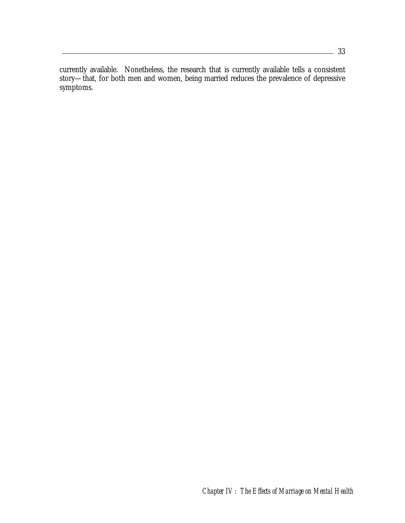currently available. Nonetheless, the research that is currently available tells a consistent story—that, for both men and women, being married reduces the prevalence of depressive symptoms.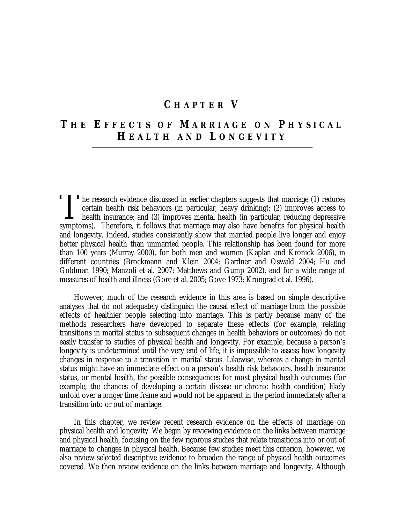### **C HAPTER V**

# **T HE E FFECTS OF M ARRIAGE ON P HYSICAL H EALTH AND L ONGEVITY**

The research evidence discussed in earlier chapters suggests that marriage (1) reduces<br>
certain health risk behaviors (in particular, heavy drinking); (2) improves access to<br>
health insurance; and (3) improves mental healt certain health risk behaviors (in particular, heavy drinking); (2) improves access to **L** health insurance; and (3) improves mental health (in particular, reducing depressive symptoms). Therefore, it follows that marriage may also have benefits for physical health and longevity. Indeed, studies consistently show that married people live longer and enjoy better physical health than unmarried people. This relationship has been found for more than 100 years (Murray 2000), for both men and women (Kaplan and Kronick 2006), in different countries (Brockmann and Klein 2004; Gardner and Oswald 2004; Hu and Goldman 1990; Manzoli et al. 2007; Matthews and Gump 2002), and for a wide range of measures of health and illness (Gore et al. 2005; Gove 1973; Krongrad et al. 1996).

 However, much of the research evidence in this area is based on simple descriptive analyses that do not adequately distinguish the causal effect of marriage from the possible effects of healthier people selecting into marriage. This is partly because many of the methods researchers have developed to separate these effects (for example, relating transitions in marital status to subsequent changes in health behaviors or outcomes) do not easily transfer to studies of physical health and longevity. For example, because a person's longevity is undetermined until the very end of life, it is impossible to assess how longevity changes in response to a transition in marital status. Likewise, whereas a change in marital status might have an immediate effect on a person's health risk behaviors, health insurance status, or mental health, the possible consequences for most physical health outcomes (for example, the chances of developing a certain disease or chronic health condition) likely unfold over a longer time frame and would not be apparent in the period immediately after a transition into or out of marriage.

 In this chapter, we review recent research evidence on the effects of marriage on physical health and longevity. We begin by reviewing evidence on the links between marriage and physical health, focusing on the few rigorous studies that relate transitions into or out of marriage to changes in physical health. Because few studies meet this criterion, however, we also review selected descriptive evidence to broaden the range of physical health outcomes covered. We then review evidence on the links between marriage and longevity. Although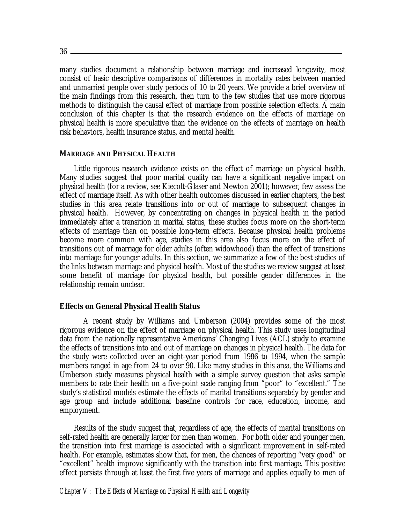$36 -$ 

many studies document a relationship between marriage and increased longevity, most consist of basic descriptive comparisons of differences in mortality rates between married and unmarried people over study periods of 10 to 20 years. We provide a brief overview of the main findings from this research, then turn to the few studies that use more rigorous methods to distinguish the causal effect of marriage from possible selection effects. A main conclusion of this chapter is that the research evidence on the effects of marriage on physical health is more speculative than the evidence on the effects of marriage on health risk behaviors, health insurance status, and mental health.

#### **MARRIAGE AND PHYSICAL HEALTH**

 Little rigorous research evidence exists on the effect of marriage on physical health. Many studies suggest that poor marital quality can have a significant negative impact on physical health (for a review, see Kiecolt-Glaser and Newton 2001); however, few assess the effect of marriage itself. As with other health outcomes discussed in earlier chapters, the best studies in this area relate transitions into or out of marriage to subsequent changes in physical health. However, by concentrating on changes in physical health in the period immediately after a transition in marital status, these studies focus more on the short-term effects of marriage than on possible long-term effects. Because physical health problems become more common with age, studies in this area also focus more on the effect of transitions out of marriage for older adults (often widowhood) than the effect of transitions into marriage for younger adults. In this section, we summarize a few of the best studies of the links between marriage and physical health. Most of the studies we review suggest at least some benefit of marriage for physical health, but possible gender differences in the relationship remain unclear.

#### **Effects on General Physical Health Status**

A recent study by Williams and Umberson (2004) provides some of the most rigorous evidence on the effect of marriage on physical health. This study uses longitudinal data from the nationally representative Americans' Changing Lives (ACL) study to examine the effects of transitions into and out of marriage on changes in physical health. The data for the study were collected over an eight-year period from 1986 to 1994, when the sample members ranged in age from 24 to over 90. Like many studies in this area, the Williams and Umberson study measures physical health with a simple survey question that asks sample members to rate their health on a five-point scale ranging from "poor" to "excellent." The study's statistical models estimate the effects of marital transitions separately by gender and age group and include additional baseline controls for race, education, income, and employment.

 Results of the study suggest that, regardless of age, the effects of marital transitions on self-rated health are generally larger for men than women. For both older and younger men, the transition into first marriage is associated with a significant improvement in self-rated health. For example, estimates show that, for men, the chances of reporting "very good" or "excellent" health improve significantly with the transition into first marriage. This positive effect persists through at least the first five years of marriage and applies equally to men of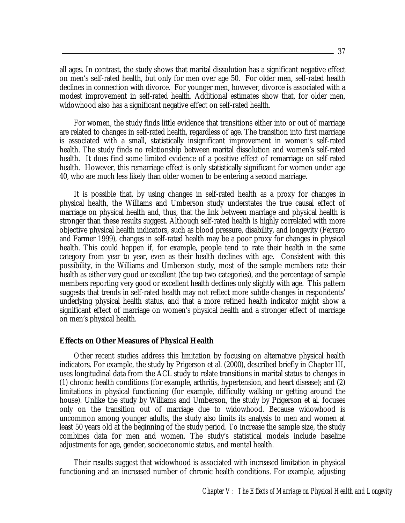all ages. In contrast, the study shows that marital dissolution has a significant negative effect on men's self-rated health, but only for men over age 50. For older men, self-rated health declines in connection with divorce. For younger men, however, divorce is associated with a modest improvement in self-rated health. Additional estimates show that, for older men, widowhood also has a significant negative effect on self-rated health.

 For women, the study finds little evidence that transitions either into or out of marriage are related to changes in self-rated health, regardless of age. The transition into first marriage is associated with a small, statistically insignificant improvement in women's self-rated health. The study finds no relationship between marital dissolution and women's self-rated health. It does find some limited evidence of a positive effect of remarriage on self-rated health. However, this remarriage effect is only statistically significant for women under age 40, who are much less likely than older women to be entering a second marriage.

 It is possible that, by using changes in self-rated health as a proxy for changes in physical health, the Williams and Umberson study understates the true causal effect of marriage on physical health and, thus, that the link between marriage and physical health is stronger than these results suggest. Although self-rated health is highly correlated with more objective physical health indicators, such as blood pressure, disability, and longevity (Ferraro and Farmer 1999), changes in self-rated health may be a poor proxy for changes in physical health. This could happen if, for example, people tend to rate their health in the same category from year to year, even as their health declines with age. Consistent with this possibility, in the Williams and Umberson study, most of the sample members rate their health as either very good or excellent (the top two categories), and the percentage of sample members reporting very good or excellent health declines only slightly with age. This pattern suggests that trends in self-rated health may not reflect more subtle changes in respondents' underlying physical health status, and that a more refined health indicator might show a significant effect of marriage on women's physical health and a stronger effect of marriage on men's physical health.

#### **Effects on Other Measures of Physical Health**

 Other recent studies address this limitation by focusing on alternative physical health indicators. For example, the study by Prigerson et al. (2000), described briefly in Chapter III, uses longitudinal data from the ACL study to relate transitions in marital status to changes in (1) chronic health conditions (for example, arthritis, hypertension, and heart disease); and (2) limitations in physical functioning (for example, difficulty walking or getting around the house). Unlike the study by Williams and Umberson, the study by Prigerson et al. focuses only on the transition out of marriage due to widowhood. Because widowhood is uncommon among younger adults, the study also limits its analysis to men and women at least 50 years old at the beginning of the study period. To increase the sample size, the study combines data for men and women. The study's statistical models include baseline adjustments for age, gender, socioeconomic status, and mental health.

 Their results suggest that widowhood is associated with increased limitation in physical functioning and an increased number of chronic health conditions. For example, adjusting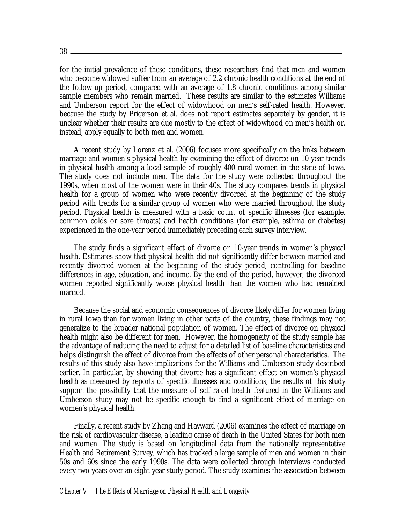```
38
```
for the initial prevalence of these conditions, these researchers find that men and women who become widowed suffer from an average of 2.2 chronic health conditions at the end of the follow-up period, compared with an average of 1.8 chronic conditions among similar sample members who remain married. These results are similar to the estimates Williams and Umberson report for the effect of widowhood on men's self-rated health. However, because the study by Prigerson et al. does not report estimates separately by gender, it is unclear whether their results are due mostly to the effect of widowhood on men's health or, instead, apply equally to both men and women.

 A recent study by Lorenz et al. (2006) focuses more specifically on the links between marriage and women's physical health by examining the effect of divorce on 10-year trends in physical health among a local sample of roughly 400 rural women in the state of Iowa. The study does not include men. The data for the study were collected throughout the 1990s, when most of the women were in their 40s. The study compares trends in physical health for a group of women who were recently divorced at the beginning of the study period with trends for a similar group of women who were married throughout the study period. Physical health is measured with a basic count of specific illnesses (for example, common colds or sore throats) and health conditions (for example, asthma or diabetes) experienced in the one-year period immediately preceding each survey interview.

 The study finds a significant effect of divorce on 10-year trends in women's physical health. Estimates show that physical health did not significantly differ between married and recently divorced women at the beginning of the study period, controlling for baseline differences in age, education, and income. By the end of the period, however, the divorced women reported significantly worse physical health than the women who had remained married.

 Because the social and economic consequences of divorce likely differ for women living in rural Iowa than for women living in other parts of the country, these findings may not generalize to the broader national population of women. The effect of divorce on physical health might also be different for men. However, the homogeneity of the study sample has the advantage of reducing the need to adjust for a detailed list of baseline characteristics and helps distinguish the effect of divorce from the effects of other personal characteristics. The results of this study also have implications for the Williams and Umberson study described earlier. In particular, by showing that divorce has a significant effect on women's physical health as measured by reports of specific illnesses and conditions, the results of this study support the possibility that the measure of self-rated health featured in the Williams and Umberson study may not be specific enough to find a significant effect of marriage on women's physical health.

 Finally, a recent study by Zhang and Hayward (2006) examines the effect of marriage on the risk of cardiovascular disease, a leading cause of death in the United States for both men and women. The study is based on longitudinal data from the nationally representative Health and Retirement Survey, which has tracked a large sample of men and women in their 50s and 60s since the early 1990s. The data were collected through interviews conducted every two years over an eight-year study period. The study examines the association between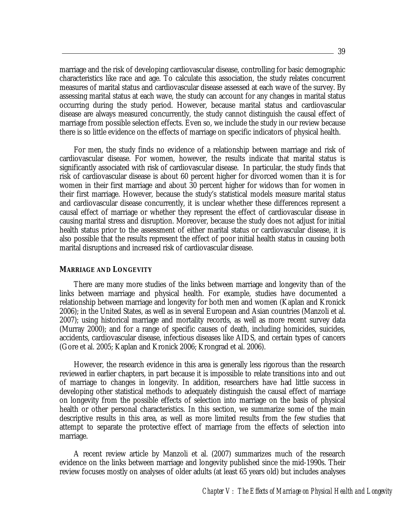marriage and the risk of developing cardiovascular disease, controlling for basic demographic characteristics like race and age. To calculate this association, the study relates concurrent measures of marital status and cardiovascular disease assessed at each wave of the survey. By assessing marital status at each wave, the study can account for any changes in marital status occurring during the study period. However, because marital status and cardiovascular disease are always measured concurrently, the study cannot distinguish the causal effect of marriage from possible selection effects. Even so, we include the study in our review because there is so little evidence on the effects of marriage on specific indicators of physical health.

 For men, the study finds no evidence of a relationship between marriage and risk of cardiovascular disease. For women, however, the results indicate that marital status is significantly associated with risk of cardiovascular disease. In particular, the study finds that risk of cardiovascular disease is about 60 percent higher for divorced women than it is for women in their first marriage and about 30 percent higher for widows than for women in their first marriage. However, because the study's statistical models measure marital status and cardiovascular disease concurrently, it is unclear whether these differences represent a causal effect of marriage or whether they represent the effect of cardiovascular disease in causing marital stress and disruption. Moreover, because the study does not adjust for initial health status prior to the assessment of either marital status or cardiovascular disease, it is also possible that the results represent the effect of poor initial health status in causing both marital disruptions and increased risk of cardiovascular disease.

#### **MARRIAGE AND LONGEVITY**

 There are many more studies of the links between marriage and longevity than of the links between marriage and physical health. For example, studies have documented a relationship between marriage and longevity for both men and women (Kaplan and Kronick 2006); in the United States, as well as in several European and Asian countries (Manzoli et al. 2007); using historical marriage and mortality records, as well as more recent survey data (Murray 2000); and for a range of specific causes of death, including homicides, suicides, accidents, cardiovascular disease, infectious diseases like AIDS, and certain types of cancers (Gore et al. 2005; Kaplan and Kronick 2006; Krongrad et al. 2006).

 However, the research evidence in this area is generally less rigorous than the research reviewed in earlier chapters, in part because it is impossible to relate transitions into and out of marriage to changes in longevity. In addition, researchers have had little success in developing other statistical methods to adequately distinguish the causal effect of marriage on longevity from the possible effects of selection into marriage on the basis of physical health or other personal characteristics. In this section, we summarize some of the main descriptive results in this area, as well as more limited results from the few studies that attempt to separate the protective effect of marriage from the effects of selection into marriage.

 A recent review article by Manzoli et al. (2007) summarizes much of the research evidence on the links between marriage and longevity published since the mid-1990s. Their review focuses mostly on analyses of older adults (at least 65 years old) but includes analyses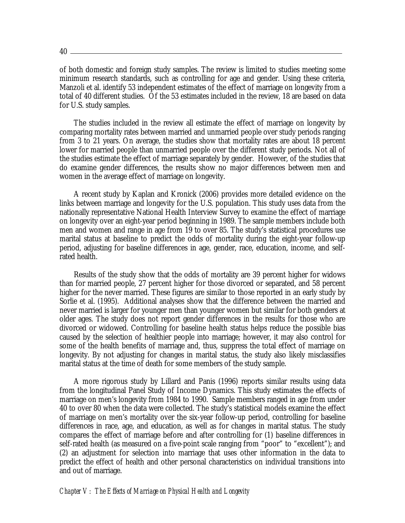of both domestic and foreign study samples. The review is limited to studies meeting some minimum research standards, such as controlling for age and gender. Using these criteria, Manzoli et al. identify 53 independent estimates of the effect of marriage on longevity from a total of 40 different studies. Of the 53 estimates included in the review, 18 are based on data for U.S. study samples.

 The studies included in the review all estimate the effect of marriage on longevity by comparing mortality rates between married and unmarried people over study periods ranging from 3 to 21 years. On average, the studies show that mortality rates are about 18 percent lower for married people than unmarried people over the different study periods. Not all of the studies estimate the effect of marriage separately by gender. However, of the studies that do examine gender differences, the results show no major differences between men and women in the average effect of marriage on longevity.

 A recent study by Kaplan and Kronick (2006) provides more detailed evidence on the links between marriage and longevity for the U.S. population. This study uses data from the nationally representative National Health Interview Survey to examine the effect of marriage on longevity over an eight-year period beginning in 1989. The sample members include both men and women and range in age from 19 to over 85. The study's statistical procedures use marital status at baseline to predict the odds of mortality during the eight-year follow-up period, adjusting for baseline differences in age, gender, race, education, income, and selfrated health.

 Results of the study show that the odds of mortality are 39 percent higher for widows than for married people, 27 percent higher for those divorced or separated, and 58 percent higher for the never married. These figures are similar to those reported in an early study by Sorlie et al. (1995). Additional analyses show that the difference between the married and never married is larger for younger men than younger women but similar for both genders at older ages. The study does not report gender differences in the results for those who are divorced or widowed. Controlling for baseline health status helps reduce the possible bias caused by the selection of healthier people into marriage; however, it may also control for some of the health benefits of marriage and, thus, suppress the total effect of marriage on longevity. By not adjusting for changes in marital status, the study also likely misclassifies marital status at the time of death for some members of the study sample.

 A more rigorous study by Lillard and Panis (1996) reports similar results using data from the longitudinal Panel Study of Income Dynamics. This study estimates the effects of marriage on men's longevity from 1984 to 1990. Sample members ranged in age from under 40 to over 80 when the data were collected. The study's statistical models examine the effect of marriage on men's mortality over the six-year follow-up period, controlling for baseline differences in race, age, and education, as well as for changes in marital status. The study compares the effect of marriage before and after controlling for (1) baseline differences in self-rated health (as measured on a five-point scale ranging from "poor" to "excellent"); and (2) an adjustment for selection into marriage that uses other information in the data to predict the effect of health and other personal characteristics on individual transitions into and out of marriage.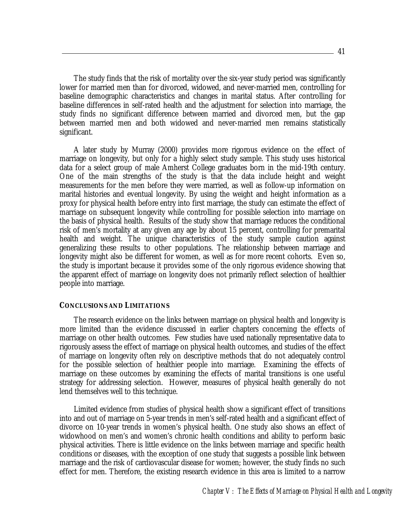The study finds that the risk of mortality over the six-year study period was significantly lower for married men than for divorced, widowed, and never-married men, controlling for baseline demographic characteristics and changes in marital status. After controlling for baseline differences in self-rated health and the adjustment for selection into marriage, the study finds no significant difference between married and divorced men, but the gap between married men and both widowed and never-married men remains statistically significant.

 A later study by Murray (2000) provides more rigorous evidence on the effect of marriage on longevity, but only for a highly select study sample. This study uses historical data for a select group of male Amherst College graduates born in the mid-19th century. One of the main strengths of the study is that the data include height and weight measurements for the men before they were married, as well as follow-up information on marital histories and eventual longevity. By using the weight and height information as a proxy for physical health before entry into first marriage, the study can estimate the effect of marriage on subsequent longevity while controlling for possible selection into marriage on the basis of physical health. Results of the study show that marriage reduces the conditional risk of men's mortality at any given any age by about 15 percent, controlling for premarital health and weight. The unique characteristics of the study sample caution against generalizing these results to other populations. The relationship between marriage and longevity might also be different for women, as well as for more recent cohorts. Even so, the study is important because it provides some of the only rigorous evidence showing that the apparent effect of marriage on longevity does not primarily reflect selection of healthier people into marriage.

#### **CONCLUSIONS AND LIMITATIONS**

 The research evidence on the links between marriage on physical health and longevity is more limited than the evidence discussed in earlier chapters concerning the effects of marriage on other health outcomes. Few studies have used nationally representative data to rigorously assess the effect of marriage on physical health outcomes, and studies of the effect of marriage on longevity often rely on descriptive methods that do not adequately control for the possible selection of healthier people into marriage. Examining the effects of marriage on these outcomes by examining the effects of marital transitions is one useful strategy for addressing selection. However, measures of physical health generally do not lend themselves well to this technique.

 Limited evidence from studies of physical health show a significant effect of transitions into and out of marriage on 5-year trends in men's self-rated health and a significant effect of divorce on 10-year trends in women's physical health. One study also shows an effect of widowhood on men's and women's chronic health conditions and ability to perform basic physical activities. There is little evidence on the links between marriage and specific health conditions or diseases, with the exception of one study that suggests a possible link between marriage and the risk of cardiovascular disease for women; however, the study finds no such effect for men. Therefore, the existing research evidence in this area is limited to a narrow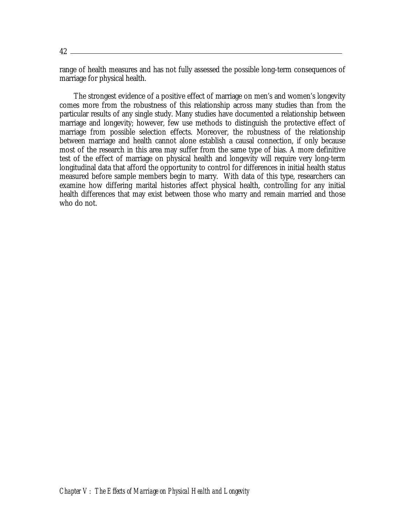range of health measures and has not fully assessed the possible long-term consequences of marriage for physical health.

 The strongest evidence of a positive effect of marriage on men's and women's longevity comes more from the robustness of this relationship across many studies than from the particular results of any single study. Many studies have documented a relationship between marriage and longevity; however, few use methods to distinguish the protective effect of marriage from possible selection effects. Moreover, the robustness of the relationship between marriage and health cannot alone establish a causal connection, if only because most of the research in this area may suffer from the same type of bias. A more definitive test of the effect of marriage on physical health and longevity will require very long-term longitudinal data that afford the opportunity to control for differences in initial health status measured before sample members begin to marry. With data of this type, researchers can examine how differing marital histories affect physical health, controlling for any initial health differences that may exist between those who marry and remain married and those who do not.

*Chapter V: The Effects of Marriage on Physical Health and Longevity*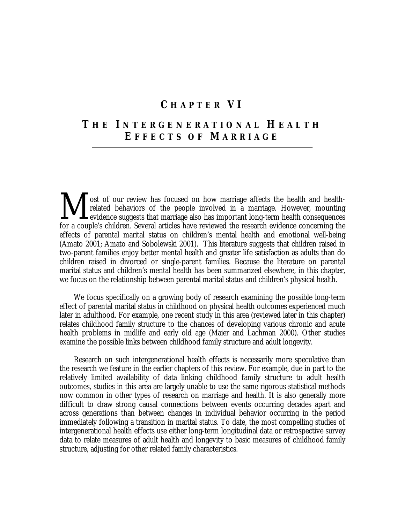## **C HAPTER VI**

# **T HE I NTERGENERATIONAL H EALTH E FFECTS OF M ARRIAGE**

ost of our review has focused on how marriage affects the health and healthrelated behaviors of the people involved in a marriage. However, mounting evidence suggests that marriage also has important long-term health consequences for a couple's children. Several articles have reviewed the research evidence concerning the effects of parental marital status on children's mental health and emotional well-being (Amato 2001; Amato and Sobolewski 2001). This literature suggests that children raised in two-parent families enjoy better mental health and greater life satisfaction as adults than do children raised in divorced or single-parent families. Because the literature on parental marital status and children's mental health has been summarized elsewhere, in this chapter, we focus on the relationship between parental marital status and children's physical health. M

 We focus specifically on a growing body of research examining the possible long-term effect of parental marital status in childhood on physical health outcomes experienced much later in adulthood. For example, one recent study in this area (reviewed later in this chapter) relates childhood family structure to the chances of developing various chronic and acute health problems in midlife and early old age (Maier and Lachman 2000). Other studies examine the possible links between childhood family structure and adult longevity.

 Research on such intergenerational health effects is necessarily more speculative than the research we feature in the earlier chapters of this review. For example, due in part to the relatively limited availability of data linking childhood family structure to adult health outcomes, studies in this area are largely unable to use the same rigorous statistical methods now common in other types of research on marriage and health. It is also generally more difficult to draw strong causal connections between events occurring decades apart and across generations than between changes in individual behavior occurring in the period immediately following a transition in marital status. To date, the most compelling studies of intergenerational health effects use either long-term longitudinal data or retrospective survey data to relate measures of adult health and longevity to basic measures of childhood family structure, adjusting for other related family characteristics.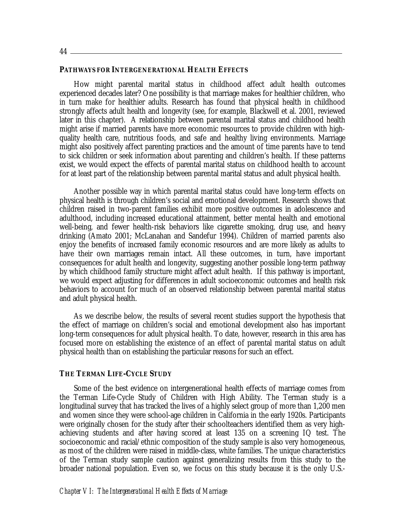#### **PATHWAYS FOR INTERGENERATIONAL HEALTH EFFECTS**

 How might parental marital status in childhood affect adult health outcomes experienced decades later? One possibility is that marriage makes for healthier children, who in turn make for healthier adults. Research has found that physical health in childhood strongly affects adult health and longevity (see, for example, Blackwell et al. 2001, reviewed later in this chapter). A relationship between parental marital status and childhood health might arise if married parents have more economic resources to provide children with highquality health care, nutritious foods, and safe and healthy living environments. Marriage might also positively affect parenting practices and the amount of time parents have to tend to sick children or seek information about parenting and children's health. If these patterns exist, we would expect the effects of parental marital status on childhood health to account for at least part of the relationship between parental marital status and adult physical health.

 Another possible way in which parental marital status could have long-term effects on physical health is through children's social and emotional development. Research shows that children raised in two-parent families exhibit more positive outcomes in adolescence and adulthood, including increased educational attainment, better mental health and emotional well-being, and fewer health-risk behaviors like cigarette smoking, drug use, and heavy drinking (Amato 2001; McLanahan and Sandefur 1994). Children of married parents also enjoy the benefits of increased family economic resources and are more likely as adults to have their own marriages remain intact. All these outcomes, in turn, have important consequences for adult health and longevity, suggesting another possible long-term pathway by which childhood family structure might affect adult health. If this pathway is important, we would expect adjusting for differences in adult socioeconomic outcomes and health risk behaviors to account for much of an observed relationship between parental marital status and adult physical health.

 As we describe below, the results of several recent studies support the hypothesis that the effect of marriage on children's social and emotional development also has important long-term consequences for adult physical health. To date, however, research in this area has focused more on establishing the existence of an effect of parental marital status on adult physical health than on establishing the particular reasons for such an effect.

#### **THE TERMAN LIFE-CYCLE STUDY**

 Some of the best evidence on intergenerational health effects of marriage comes from the Terman Life-Cycle Study of Children with High Ability. The Terman study is a longitudinal survey that has tracked the lives of a highly select group of more than 1,200 men and women since they were school-age children in California in the early 1920s. Participants were originally chosen for the study after their schoolteachers identified them as very highachieving students and after having scored at least 135 on a screening IQ test. The socioeconomic and racial/ethnic composition of the study sample is also very homogeneous, as most of the children were raised in middle-class, white families. The unique characteristics of the Terman study sample caution against generalizing results from this study to the broader national population. Even so, we focus on this study because it is the only U.S.-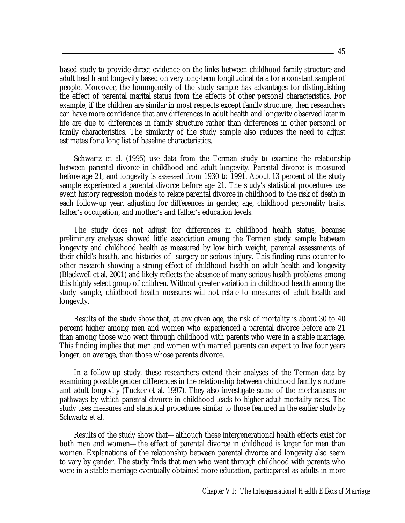based study to provide direct evidence on the links between childhood family structure and adult health and longevity based on very long-term longitudinal data for a constant sample of people. Moreover, the homogeneity of the study sample has advantages for distinguishing the effect of parental marital status from the effects of other personal characteristics. For example, if the children are similar in most respects except family structure, then researchers can have more confidence that any differences in adult health and longevity observed later in life are due to differences in family structure rather than differences in other personal or family characteristics. The similarity of the study sample also reduces the need to adjust estimates for a long list of baseline characteristics.

Schwartz et al. (1995) use data from the Terman study to examine the relationship between parental divorce in childhood and adult longevity. Parental divorce is measured before age 21, and longevity is assessed from 1930 to 1991. About 13 percent of the study sample experienced a parental divorce before age 21. The study's statistical procedures use event history regression models to relate parental divorce in childhood to the risk of death in each follow-up year, adjusting for differences in gender, age, childhood personality traits, father's occupation, and mother's and father's education levels.

 The study does not adjust for differences in childhood health status, because preliminary analyses showed little association among the Terman study sample between longevity and childhood health as measured by low birth weight, parental assessments of their child's health, and histories of surgery or serious injury. This finding runs counter to other research showing a strong effect of childhood health on adult health and longevity (Blackwell et al. 2001) and likely reflects the absence of many serious health problems among this highly select group of children. Without greater variation in childhood health among the study sample, childhood health measures will not relate to measures of adult health and longevity.

 Results of the study show that, at any given age, the risk of mortality is about 30 to 40 percent higher among men and women who experienced a parental divorce before age 21 than among those who went through childhood with parents who were in a stable marriage. This finding implies that men and women with married parents can expect to live four years longer, on average, than those whose parents divorce.

 In a follow-up study, these researchers extend their analyses of the Terman data by examining possible gender differences in the relationship between childhood family structure and adult longevity (Tucker et al. 1997). They also investigate some of the mechanisms or pathways by which parental divorce in childhood leads to higher adult mortality rates. The study uses measures and statistical procedures similar to those featured in the earlier study by Schwartz et al.

 Results of the study show that—although these intergenerational health effects exist for both men and women—the effect of parental divorce in childhood is larger for men than women. Explanations of the relationship between parental divorce and longevity also seem to vary by gender. The study finds that men who went through childhood with parents who were in a stable marriage eventually obtained more education, participated as adults in more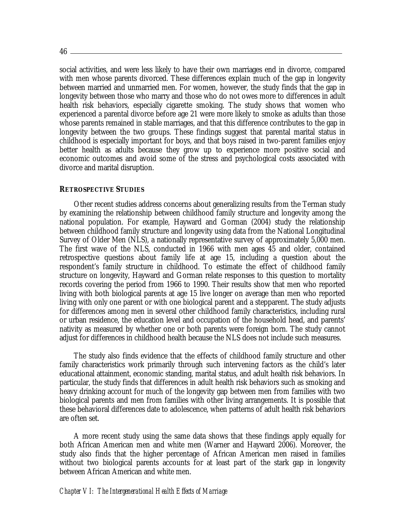social activities, and were less likely to have their own marriages end in divorce, compared with men whose parents divorced. These differences explain much of the gap in longevity between married and unmarried men. For women, however, the study finds that the gap in longevity between those who marry and those who do not owes more to differences in adult health risk behaviors, especially cigarette smoking. The study shows that women who experienced a parental divorce before age 21 were more likely to smoke as adults than those whose parents remained in stable marriages, and that this difference contributes to the gap in longevity between the two groups. These findings suggest that parental marital status in childhood is especially important for boys, and that boys raised in two-parent families enjoy better health as adults because they grow up to experience more positive social and economic outcomes and avoid some of the stress and psychological costs associated with divorce and marital disruption.

#### **RETROSPECTIVE STUDIES**

 Other recent studies address concerns about generalizing results from the Terman study by examining the relationship between childhood family structure and longevity among the national population. For example, Hayward and Gorman (2004) study the relationship between childhood family structure and longevity using data from the National Longitudinal Survey of Older Men (NLS), a nationally representative survey of approximately 5,000 men. The first wave of the NLS, conducted in 1966 with men ages 45 and older, contained retrospective questions about family life at age 15, including a question about the respondent's family structure in childhood. To estimate the effect of childhood family structure on longevity, Hayward and Gorman relate responses to this question to mortality records covering the period from 1966 to 1990. Their results show that men who reported living with both biological parents at age 15 live longer on average than men who reported living with only one parent or with one biological parent and a stepparent. The study adjusts for differences among men in several other childhood family characteristics, including rural or urban residence, the education level and occupation of the household head, and parents' nativity as measured by whether one or both parents were foreign born. The study cannot adjust for differences in childhood health because the NLS does not include such measures.

 The study also finds evidence that the effects of childhood family structure and other family characteristics work primarily through such intervening factors as the child's later educational attainment, economic standing, marital status, and adult health risk behaviors. In particular, the study finds that differences in adult health risk behaviors such as smoking and heavy drinking account for much of the longevity gap between men from families with two biological parents and men from families with other living arrangements. It is possible that these behavioral differences date to adolescence, when patterns of adult health risk behaviors are often set.

 A more recent study using the same data shows that these findings apply equally for both African American men and white men (Warner and Hayward 2006). Moreover, the study also finds that the higher percentage of African American men raised in families without two biological parents accounts for at least part of the stark gap in longevity between African American and white men.

#### *Chapter VI: The Intergenerational Health Effects of Marriage*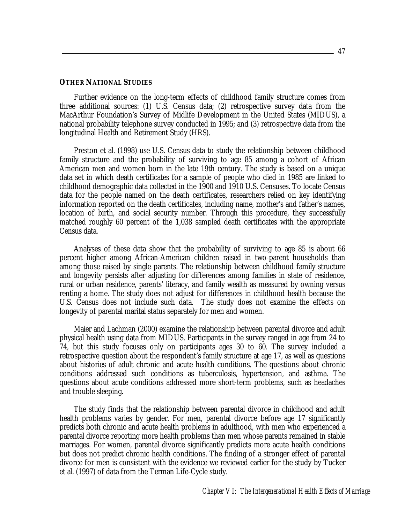#### **OTHER NATIONAL STUDIES**

 Further evidence on the long-term effects of childhood family structure comes from three additional sources: (1) U.S. Census data; (2) retrospective survey data from the MacArthur Foundation's Survey of Midlife Development in the United States (MIDUS), a national probability telephone survey conducted in 1995; and (3) retrospective data from the longitudinal Health and Retirement Study (HRS).

 Preston et al. (1998) use U.S. Census data to study the relationship between childhood family structure and the probability of surviving to age 85 among a cohort of African American men and women born in the late 19th century. The study is based on a unique data set in which death certificates for a sample of people who died in 1985 are linked to childhood demographic data collected in the 1900 and 1910 U.S. Censuses. To locate Census data for the people named on the death certificates, researchers relied on key identifying information reported on the death certificates, including name, mother's and father's names, location of birth, and social security number. Through this procedure, they successfully matched roughly 60 percent of the 1,038 sampled death certificates with the appropriate Census data.

 Analyses of these data show that the probability of surviving to age 85 is about 66 percent higher among African-American children raised in two-parent households than among those raised by single parents. The relationship between childhood family structure and longevity persists after adjusting for differences among families in state of residence, rural or urban residence, parents' literacy, and family wealth as measured by owning versus renting a home. The study does not adjust for differences in childhood health because the U.S. Census does not include such data. The study does not examine the effects on longevity of parental marital status separately for men and women.

 Maier and Lachman (2000) examine the relationship between parental divorce and adult physical health using data from MIDUS. Participants in the survey ranged in age from 24 to 74, but this study focuses only on participants ages 30 to 60. The survey included a retrospective question about the respondent's family structure at age 17, as well as questions about histories of adult chronic and acute health conditions. The questions about chronic conditions addressed such conditions as tuberculosis, hypertension, and asthma. The questions about acute conditions addressed more short-term problems, such as headaches and trouble sleeping.

 The study finds that the relationship between parental divorce in childhood and adult health problems varies by gender. For men, parental divorce before age 17 significantly predicts both chronic and acute health problems in adulthood, with men who experienced a parental divorce reporting more health problems than men whose parents remained in stable marriages. For women, parental divorce significantly predicts more acute health conditions but does not predict chronic health conditions. The finding of a stronger effect of parental divorce for men is consistent with the evidence we reviewed earlier for the study by Tucker et al. (1997) of data from the Terman Life-Cycle study.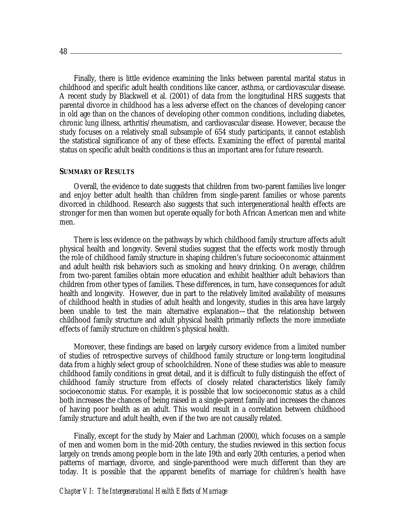Finally, there is little evidence examining the links between parental marital status in childhood and specific adult health conditions like cancer, asthma, or cardiovascular disease. A recent study by Blackwell et al. (2001) of data from the longitudinal HRS suggests that parental divorce in childhood has a less adverse effect on the chances of developing cancer in old age than on the chances of developing other common conditions, including diabetes, chronic lung illness, arthritis/rheumatism, and cardiovascular disease. However, because the study focuses on a relatively small subsample of 654 study participants, it cannot establish the statistical significance of any of these effects. Examining the effect of parental marital status on specific adult health conditions is thus an important area for future research.

#### **SUMMARY OF RESULTS**

 Overall, the evidence to date suggests that children from two-parent families live longer and enjoy better adult health than children from single-parent families or whose parents divorced in childhood. Research also suggests that such intergenerational health effects are stronger for men than women but operate equally for both African American men and white men.

 There is less evidence on the pathways by which childhood family structure affects adult physical health and longevity. Several studies suggest that the effects work mostly through the role of childhood family structure in shaping children's future socioeconomic attainment and adult health risk behaviors such as smoking and heavy drinking. On average, children from two-parent families obtain more education and exhibit healthier adult behaviors than children from other types of families. These differences, in turn, have consequences for adult health and longevity. However, due in part to the relatively limited availability of measures of childhood health in studies of adult health and longevity, studies in this area have largely been unable to test the main alternative explanation—that the relationship between childhood family structure and adult physical health primarily reflects the more immediate effects of family structure on children's physical health.

 Moreover, these findings are based on largely cursory evidence from a limited number of studies of retrospective surveys of childhood family structure or long-term longitudinal data from a highly select group of schoolchildren. None of these studies was able to measure childhood family conditions in great detail, and it is difficult to fully distinguish the effect of childhood family structure from effects of closely related characteristics likely family socioeconomic status. For example, it is possible that low socioeconomic status as a child both increases the chances of being raised in a single-parent family and increases the chances of having poor health as an adult. This would result in a correlation between childhood family structure and adult health, even if the two are not causally related.

 Finally, except for the study by Maier and Lachman (2000), which focuses on a sample of men and women born in the mid-20th century, the studies reviewed in this section focus largely on trends among people born in the late 19th and early 20th centuries, a period when patterns of marriage, divorce, and single-parenthood were much different than they are today. It is possible that the apparent benefits of marriage for children's health have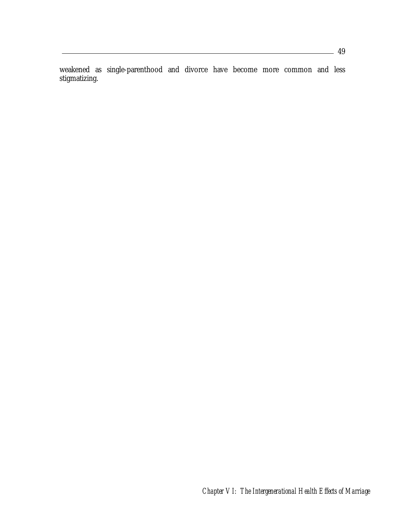weakened as single-parenthood and divorce have become more common and less stigmatizing.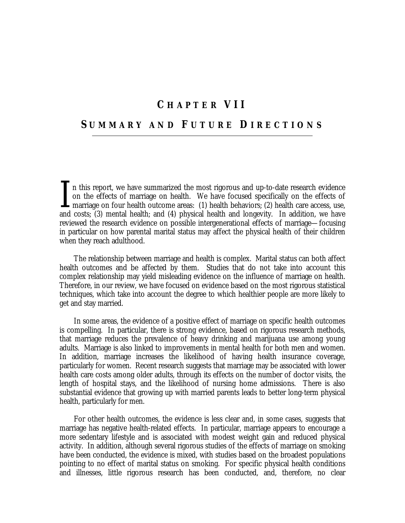### **C HAPTER VII**

### **S UMMARY AND F UTURE D IRECTIONS**

n this report, we have summarized the most rigorous and up-to-date research evidence on the effects of marriage on health. We have focused specifically on the effects of marriage on four health outcome areas: (1) health behaviors; (2) health care access, use, and costs; (3) mental health; and (4) physical health and longevity. In addition, we have reviewed the research evidence on possible intergenerational effects of marriage—focusing in particular on how parental marital status may affect the physical health of their children when they reach adulthood.  $\prod_{\text{and}}$ 

The relationship between marriage and health is complex. Marital status can both affect health outcomes and be affected by them. Studies that do not take into account this complex relationship may yield misleading evidence on the influence of marriage on health. Therefore, in our review, we have focused on evidence based on the most rigorous statistical techniques, which take into account the degree to which healthier people are more likely to get and stay married.

In some areas, the evidence of a positive effect of marriage on specific health outcomes is compelling. In particular, there is strong evidence, based on rigorous research methods, that marriage reduces the prevalence of heavy drinking and marijuana use among young adults. Marriage is also linked to improvements in mental health for both men and women. In addition, marriage increases the likelihood of having health insurance coverage, particularly for women. Recent research suggests that marriage may be associated with lower health care costs among older adults, through its effects on the number of doctor visits, the length of hospital stays, and the likelihood of nursing home admissions. There is also substantial evidence that growing up with married parents leads to better long-term physical health, particularly for men.

For other health outcomes, the evidence is less clear and, in some cases, suggests that marriage has negative health-related effects. In particular, marriage appears to encourage a more sedentary lifestyle and is associated with modest weight gain and reduced physical activity. In addition, although several rigorous studies of the effects of marriage on smoking have been conducted, the evidence is mixed, with studies based on the broadest populations pointing to no effect of marital status on smoking. For specific physical health conditions and illnesses, little rigorous research has been conducted, and, therefore, no clear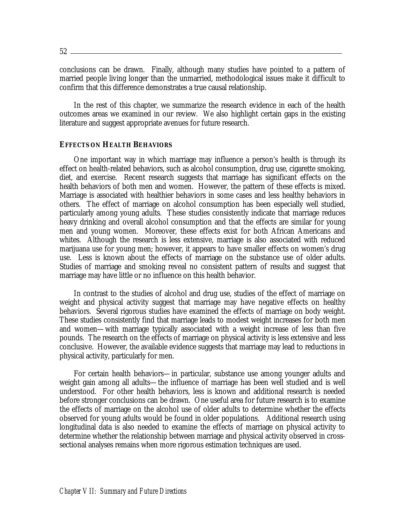$52 -$ 

conclusions can be drawn. Finally, although many studies have pointed to a pattern of married people living longer than the unmarried, methodological issues make it difficult to confirm that this difference demonstrates a true causal relationship.

In the rest of this chapter, we summarize the research evidence in each of the health outcomes areas we examined in our review. We also highlight certain gaps in the existing literature and suggest appropriate avenues for future research.

#### **EFFECTS ON HEALTH BEHAVIORS**

 One important way in which marriage may influence a person's health is through its effect on health-related behaviors, such as alcohol consumption, drug use, cigarette smoking, diet, and exercise. Recent research suggests that marriage has significant effects on the health behaviors of both men and women. However, the pattern of these effects is mixed. Marriage is associated with healthier behaviors in some cases and less healthy behaviors in others. The effect of marriage on alcohol consumption has been especially well studied, particularly among young adults. These studies consistently indicate that marriage reduces heavy drinking and overall alcohol consumption and that the effects are similar for young men and young women. Moreover, these effects exist for both African Americans and whites. Although the research is less extensive, marriage is also associated with reduced marijuana use for young men; however, it appears to have smaller effects on women's drug use. Less is known about the effects of marriage on the substance use of older adults. Studies of marriage and smoking reveal no consistent pattern of results and suggest that marriage may have little or no influence on this health behavior.

 In contrast to the studies of alcohol and drug use, studies of the effect of marriage on weight and physical activity suggest that marriage may have negative effects on healthy behaviors. Several rigorous studies have examined the effects of marriage on body weight. These studies consistently find that marriage leads to modest weight increases for both men and women—with marriage typically associated with a weight increase of less than five pounds. The research on the effects of marriage on physical activity is less extensive and less conclusive. However, the available evidence suggests that marriage may lead to reductions in physical activity, particularly for men.

 For certain health behaviors—in particular, substance use among younger adults and weight gain among all adults—the influence of marriage has been well studied and is well understood. For other health behaviors, less is known and additional research is needed before stronger conclusions can be drawn. One useful area for future research is to examine the effects of marriage on the alcohol use of older adults to determine whether the effects observed for young adults would be found in older populations. Additional research using longitudinal data is also needed to examine the effects of marriage on physical activity to determine whether the relationship between marriage and physical activity observed in crosssectional analyses remains when more rigorous estimation techniques are used.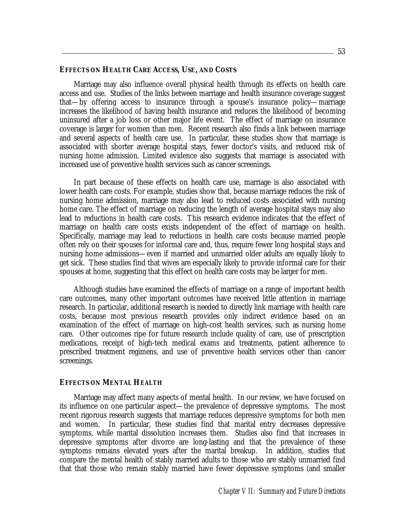#### **EFFECTS ON HEALTH CARE ACCESS, USE, AND COSTS**

 Marriage may also influence overall physical health through its effects on health care access and use. Studies of the links between marriage and health insurance coverage suggest that—by offering access to insurance through a spouse's insurance policy—marriage increases the likelihood of having health insurance and reduces the likelihood of becoming uninsured after a job loss or other major life event. The effect of marriage on insurance coverage is larger for women than men. Recent research also finds a link between marriage and several aspects of health care use. In particular, these studies show that marriage is associated with shorter average hospital stays, fewer doctor's visits, and reduced risk of nursing home admission. Limited evidence also suggests that marriage is associated with increased use of preventive health services such as cancer screenings.

 In part because of these effects on health care use, marriage is also associated with lower health care costs. For example, studies show that, because marriage reduces the risk of nursing home admission, marriage may also lead to reduced costs associated with nursing home care. The effect of marriage on reducing the length of average hospital stays may also lead to reductions in health care costs. This research evidence indicates that the effect of marriage on health care costs exists independent of the effect of marriage on health. Specifically, marriage may lead to reductions in health care costs because married people often rely on their spouses for informal care and, thus, require fewer long hospital stays and nursing home admissions—even if married and unmarried older adults are equally likely to get sick. These studies find that wives are especially likely to provide informal care for their spouses at home, suggesting that this effect on health care costs may be larger for men.

 Although studies have examined the effects of marriage on a range of important health care outcomes, many other important outcomes have received little attention in marriage research. In particular, additional research is needed to directly link marriage with health care costs, because most previous research provides only indirect evidence based on an examination of the effect of marriage on high-cost health services, such as nursing home care. Other outcomes ripe for future research include quality of care, use of prescription medications, receipt of high-tech medical exams and treatments, patient adherence to prescribed treatment regimens, and use of preventive health services other than cancer screenings.

#### **EFFECTS ON MENTAL HEALTH**

 Marriage may affect many aspects of mental health. In our review, we have focused on its influence on one particular aspect—the prevalence of depressive symptoms. The most recent rigorous research suggests that marriage reduces depressive symptoms for both men and women. In particular, these studies find that marital entry decreases depressive symptoms, while marital dissolution increases them. Studies also find that increases in depressive symptoms after divorce are long-lasting and that the prevalence of these symptoms remains elevated years after the marital breakup. In addition, studies that compare the mental health of stably married adults to those who are stably unmarried find that that those who remain stably married have fewer depressive symptoms (and smaller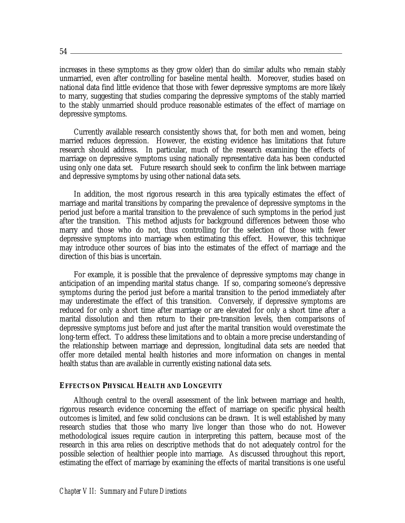54

increases in these symptoms as they grow older) than do similar adults who remain stably unmarried, even after controlling for baseline mental health. Moreover, studies based on national data find little evidence that those with fewer depressive symptoms are more likely to marry, suggesting that studies comparing the depressive symptoms of the stably married to the stably unmarried should produce reasonable estimates of the effect of marriage on depressive symptoms.

 Currently available research consistently shows that, for both men and women, being married reduces depression. However, the existing evidence has limitations that future research should address. In particular, much of the research examining the effects of marriage on depressive symptoms using nationally representative data has been conducted using only one data set. Future research should seek to confirm the link between marriage and depressive symptoms by using other national data sets.

 In addition, the most rigorous research in this area typically estimates the effect of marriage and marital transitions by comparing the prevalence of depressive symptoms in the period just before a marital transition to the prevalence of such symptoms in the period just after the transition. This method adjusts for background differences between those who marry and those who do not, thus controlling for the selection of those with fewer depressive symptoms into marriage when estimating this effect. However, this technique may introduce other sources of bias into the estimates of the effect of marriage and the direction of this bias is uncertain.

 For example, it is possible that the prevalence of depressive symptoms may change in anticipation of an impending marital status change. If so, comparing someone's depressive symptoms during the period just before a marital transition to the period immediately after may underestimate the effect of this transition. Conversely, if depressive symptoms are reduced for only a short time after marriage or are elevated for only a short time after a marital dissolution and then return to their pre-transition levels, then comparisons of depressive symptoms just before and just after the marital transition would overestimate the long-term effect. To address these limitations and to obtain a more precise understanding of the relationship between marriage and depression, longitudinal data sets are needed that offer more detailed mental health histories and more information on changes in mental health status than are available in currently existing national data sets.

#### **EFFECTS ON PHYSICAL HEALTH AND LONGEVITY**

 Although central to the overall assessment of the link between marriage and health, rigorous research evidence concerning the effect of marriage on specific physical health outcomes is limited, and few solid conclusions can be drawn. It is well established by many research studies that those who marry live longer than those who do not. However methodological issues require caution in interpreting this pattern, because most of the research in this area relies on descriptive methods that do not adequately control for the possible selection of healthier people into marriage. As discussed throughout this report, estimating the effect of marriage by examining the effects of marital transitions is one useful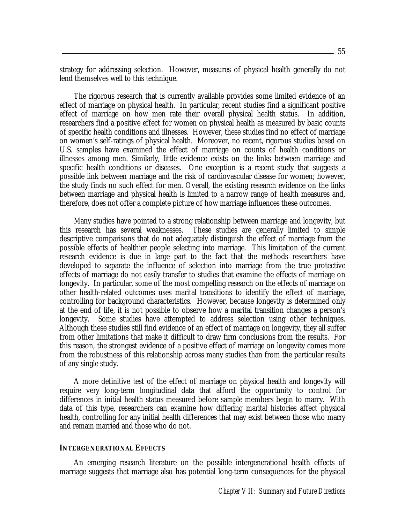strategy for addressing selection. However, measures of physical health generally do not lend themselves well to this technique.

 The rigorous research that is currently available provides some limited evidence of an effect of marriage on physical health. In particular, recent studies find a significant positive effect of marriage on how men rate their overall physical health status. In addition, researchers find a positive effect for women on physical health as measured by basic counts of specific health conditions and illnesses. However, these studies find no effect of marriage on women's self-ratings of physical health. Moreover, no recent, rigorous studies based on U.S. samples have examined the effect of marriage on counts of health conditions or illnesses among men. Similarly, little evidence exists on the links between marriage and specific health conditions or diseases. One exception is a recent study that suggests a possible link between marriage and the risk of cardiovascular disease for women; however, the study finds no such effect for men. Overall, the existing research evidence on the links between marriage and physical health is limited to a narrow range of health measures and, therefore, does not offer a complete picture of how marriage influences these outcomes.

 Many studies have pointed to a strong relationship between marriage and longevity, but this research has several weaknesses. These studies are generally limited to simple descriptive comparisons that do not adequately distinguish the effect of marriage from the possible effects of healthier people selecting into marriage. This limitation of the current research evidence is due in large part to the fact that the methods researchers have developed to separate the influence of selection into marriage from the true protective effects of marriage do not easily transfer to studies that examine the effects of marriage on longevity. In particular, some of the most compelling research on the effects of marriage on other health-related outcomes uses marital transitions to identify the effect of marriage, controlling for background characteristics. However, because longevity is determined only at the end of life, it is not possible to observe how a marital transition changes a person's longevity. Some studies have attempted to address selection using other techniques. Although these studies still find evidence of an effect of marriage on longevity, they all suffer from other limitations that make it difficult to draw firm conclusions from the results. For this reason, the strongest evidence of a positive effect of marriage on longevity comes more from the robustness of this relationship across many studies than from the particular results of any single study.

 A more definitive test of the effect of marriage on physical health and longevity will require very long-term longitudinal data that afford the opportunity to control for differences in initial health status measured before sample members begin to marry. With data of this type, researchers can examine how differing marital histories affect physical health, controlling for any initial health differences that may exist between those who marry and remain married and those who do not.

#### **INTERGENERATIONAL EFFECTS**

 An emerging research literature on the possible intergenerational health effects of marriage suggests that marriage also has potential long-term consequences for the physical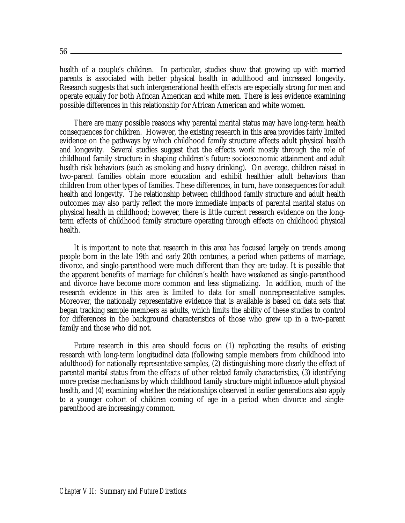$56-$ 

health of a couple's children. In particular, studies show that growing up with married parents is associated with better physical health in adulthood and increased longevity. Research suggests that such intergenerational health effects are especially strong for men and operate equally for both African American and white men. There is less evidence examining possible differences in this relationship for African American and white women.

 There are many possible reasons why parental marital status may have long-term health consequences for children. However, the existing research in this area provides fairly limited evidence on the pathways by which childhood family structure affects adult physical health and longevity. Several studies suggest that the effects work mostly through the role of childhood family structure in shaping children's future socioeconomic attainment and adult health risk behaviors (such as smoking and heavy drinking). On average, children raised in two-parent families obtain more education and exhibit healthier adult behaviors than children from other types of families. These differences, in turn, have consequences for adult health and longevity. The relationship between childhood family structure and adult health outcomes may also partly reflect the more immediate impacts of parental marital status on physical health in childhood; however, there is little current research evidence on the longterm effects of childhood family structure operating through effects on childhood physical health.

 It is important to note that research in this area has focused largely on trends among people born in the late 19th and early 20th centuries, a period when patterns of marriage, divorce, and single-parenthood were much different than they are today. It is possible that the apparent benefits of marriage for children's health have weakened as single-parenthood and divorce have become more common and less stigmatizing. In addition, much of the research evidence in this area is limited to data for small nonrepresentative samples. Moreover, the nationally representative evidence that is available is based on data sets that began tracking sample members as adults, which limits the ability of these studies to control for differences in the background characteristics of those who grew up in a two-parent family and those who did not.

 Future research in this area should focus on (1) replicating the results of existing research with long-term longitudinal data (following sample members from childhood into adulthood) for nationally representative samples, (2) distinguishing more clearly the effect of parental marital status from the effects of other related family characteristics, (3) identifying more precise mechanisms by which childhood family structure might influence adult physical health, and (4) examining whether the relationships observed in earlier generations also apply to a younger cohort of children coming of age in a period when divorce and singleparenthood are increasingly common.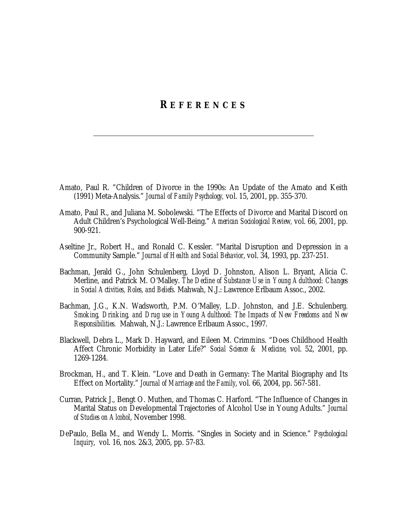### **R EFERENCES**

- Amato, Paul R. "Children of Divorce in the 1990s: An Update of the Amato and Keith (1991) Meta-Analysis." *Journal of Family Psychology,* vol. 15, 2001, pp. 355-370.
- Amato, Paul R., and Juliana M. Sobolewski. "The Effects of Divorce and Marital Discord on Adult Children's Psychological Well-Being." *American Sociological Review,* vol. 66, 2001, pp. 900-921.
- Aseltine Jr., Robert H., and Ronald C. Kessler. "Marital Disruption and Depression in a Community Sample." *Journal of Health and Social Behavior*, vol. 34, 1993, pp. 237-251.
- Bachman, Jerald G., John Schulenberg, Lloyd D. Johnston, Alison L. Bryant, Alicia C. Merline, and Patrick M. O'Malley. *The Decline of Substance Use in Young Adulthood: Changes in Social Activities, Roles, and Beliefs.* Mahwah, N.J.: Lawrence Erlbaum Assoc., 2002.
- Bachman, J.G., K.N. Wadsworth, P.M. O'Malley, L.D. Johnston, and J.E. Schulenberg. *Smoking, Drinking, and Drug use in Young Adulthood: The Impacts of New Freedoms and New Responsibilities.* Mahwah, N.J.: Lawrence Erlbaum Assoc., 1997.
- Blackwell, Debra L., Mark D. Hayward, and Eileen M. Crimmins. "Does Childhood Health Affect Chronic Morbidity in Later Life?" *Social Science & Medicine,* vol. 52, 2001, pp. 1269-1284.
- Brockman, H., and T. Klein. "Love and Death in Germany: The Marital Biography and Its Effect on Mortality." *Journal of Marriage and the Family*, vol. 66, 2004, pp. 567-581.
- Curran, Patrick J., Bengt O. Muthen, and Thomas C. Harford. "The Influence of Changes in Marital Status on Developmental Trajectories of Alcohol Use in Young Adults." *Journal of Studies on Alcohol*, November 1998.
- DePaulo, Bella M., and Wendy L. Morris. "Singles in Society and in Science." *Psychological Inquiry*, vol. 16, nos. 2&3, 2005, pp. 57-83.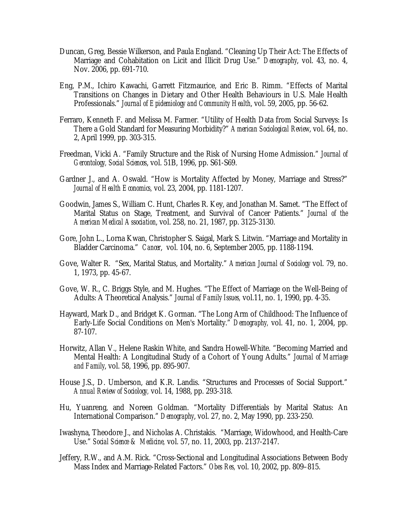- Duncan, Greg, Bessie Wilkerson, and Paula England. "Cleaning Up Their Act: The Effects of Marriage and Cohabitation on Licit and Illicit Drug Use." *Demography*, vol. 43, no. 4, Nov. 2006, pp. 691-710.
- Eng, P.M., Ichiro Kawachi, Garrett Fitzmaurice, and Eric B. Rimm. "Effects of Marital Transitions on Changes in Dietary and Other Health Behaviours in U.S. Male Health Professionals." *Journal of Epidemiology and Community Health*, vol. 59, 2005, pp. 56-62.
- Ferraro, Kenneth F. and Melissa M. Farmer. "Utility of Health Data from Social Surveys: Is There a Gold Standard for Measuring Morbidity?" *American Sociological Review*, vol. 64, no. 2, April 1999, pp. 303-315.
- Freedman, Vicki A. "Family Structure and the Risk of Nursing Home Admission." *Journal of Gerontology, Social Sciences*, vol. 51B, 1996, pp. S61-S69.
- Gardner J., and A. Oswald. "How is Mortality Affected by Money, Marriage and Stress?" *Journal of Health Economics,* vol. 23, 2004, pp. 1181-1207.
- Goodwin, James S., William C. Hunt, Charles R. Key, and Jonathan M. Samet. "The Effect of Marital Status on Stage, Treatment, and Survival of Cancer Patients." *Journal of the American Medical Association*, vol. 258, no. 21, 1987, pp. 3125-3130.
- Gore, John L., Lorna Kwan, Christopher S. Saigal, Mark S. Litwin. "Marriage and Mortality in Bladder Carcinoma." *Cancer*, vol. 104, no. 6, September 2005, pp. 1188-1194.
- Gove, Walter R. "Sex, Marital Status, and Mortality." *American Journal of Sociology* vol. 79, no. 1, 1973, pp. 45-67.
- Gove, W. R., C. Briggs Style, and M. Hughes. "The Effect of Marriage on the Well-Being of Adults: A Theoretical Analysis." *Journal of Family Issues,* vol.11, no. 1, 1990, pp. 4-35.
- Hayward, Mark D., and Bridget K. Gorman. "The Long Arm of Childhood: The Influence of Early-Life Social Conditions on Men's Mortality." *Demography,* vol. 41, no. 1, 2004, pp. 87-107.
- Horwitz, Allan V., Helene Raskin White, and Sandra Howell-White. "Becoming Married and Mental Health: A Longitudinal Study of a Cohort of Young Adults." *Journal of Marriage and Family*, vol. 58, 1996, pp. 895-907.
- House J.S., D. Umberson, and K.R. Landis. "Structures and Processes of Social Support." *Annual Review of Sociology,* vol. 14, 1988, pp. 293-318.
- Hu, Yuanreng, and Noreen Goldman. "Mortality Differentials by Marital Status: An International Comparison." *Demography*, vol. 27, no. 2, May 1990, pp. 233-250.
- Iwashyna, Theodore J., and Nicholas A. Christakis. "Marriage, Widowhood, and Health-Care Use." *Social Science & Medicine,* vol. 57, no. 11, 2003, pp. 2137-2147.
- Jeffery, R.W., and A.M. Rick. "Cross-Sectional and Longitudinal Associations Between Body Mass Index and Marriage-Related Factors." *Obes Res,* vol. 10, 2002, pp. 809–815.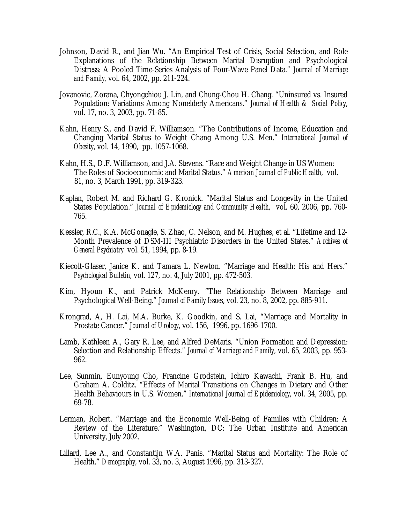- Johnson, David R., and Jian Wu. "An Empirical Test of Crisis, Social Selection, and Role Explanations of the Relationship Between Marital Disruption and Psychological Distress: A Pooled Time-Series Analysis of Four-Wave Panel Data." *Journal of Marriage and Family,* vol. 64, 2002, pp. 211-224.
- Jovanovic, Zorana, Chyongchiou J. Lin, and Chung-Chou H. Chang. "Uninsured vs. Insured Population: Variations Among Nonelderly Americans." *Journal of Health & Social Policy*, vol. 17, no. 3, 2003, pp. 71-85.
- Kahn, Henry S., and David F. Williamson. "The Contributions of Income, Education and Changing Marital Status to Weight Chang Among U.S. Men." *International Journal of Obesity*, vol. 14, 1990, pp. 1057-1068.
- Kahn, H.S., D.F. Williamson, and J.A. Stevens. "Race and Weight Change in US Women: The Roles of Socioeconomic and Marital Status." *American Journal of Public Health*, vol. 81, no. 3, March 1991, pp. 319-323.
- Kaplan, Robert M. and Richard G. Kronick. "Marital Status and Longevity in the United States Population." *Journal of Epidemiology and Community Health,* vol. 60, 2006, pp. 760- 765.
- Kessler, R.C., K.A. McGonagle, S. Zhao, C. Nelson, and M. Hughes, et al. "Lifetime and 12- Month Prevalence of DSM-III Psychiatric Disorders in the United States." *Archives of General Psychiatry* vol. 51, 1994, pp. 8-19.
- Kiecolt-Glaser, Janice K. and Tamara L. Newton. "Marriage and Health: His and Hers." *Psychological Bulletin,* vol. 127, no. 4, July 2001, pp. 472-503.
- Kim, Hyoun K., and Patrick McKenry. "The Relationship Between Marriage and Psychological Well-Being." *Journal of Family Issues*, vol. 23, no. 8, 2002, pp. 885-911.
- Krongrad, A, H. Lai, M.A. Burke, K. Goodkin, and S. Lai, "Marriage and Mortality in Prostate Cancer." *Journal of Urology*, vol. 156, 1996, pp. 1696-1700.
- Lamb, Kathleen A., Gary R. Lee, and Alfred DeMaris. "Union Formation and Depression: Selection and Relationship Effects." *Journal of Marriage and Family*, vol. 65, 2003, pp. 953- 962.
- Lee, Sunmin, Eunyoung Cho, Francine Grodstein, Ichiro Kawachi, Frank B. Hu, and Graham A. Colditz. "Effects of Marital Transitions on Changes in Dietary and Other Health Behaviours in U.S. Women." *International Journal of Epidemiology,* vol. 34, 2005, pp. 69-78.
- Lerman, Robert. "Marriage and the Economic Well-Being of Families with Children: A Review of the Literature." Washington, DC: The Urban Institute and American University, July 2002.
- Lillard, Lee A., and Constantijn W.A. Panis. "Marital Status and Mortality: The Role of Health." *Demography*, vol. 33, no. 3, August 1996, pp. 313-327.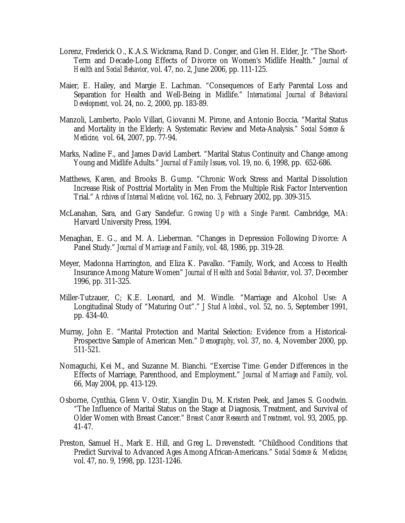- Lorenz, Frederick O., K.A.S. Wickrama, Rand D. Conger, and Glen H. Elder, Jr. "The Short-Term and Decade-Long Effects of Divorce on Women's Midlife Health." *Journal of Health and Social Behavior*, vol. 47, no. 2, June 2006, pp. 111-125.
- Maier, E. Hailey, and Margie E. Lachman. "Consequences of Early Parental Loss and Separation for Health and Well-Being in Midlife." *International Journal of Behavioral Development,* vol. 24, no. 2, 2000, pp. 183-89.
- Manzoli, Lamberto, Paolo Villari, Giovanni M. Pirone, and Antonio Boccia. "Marital Status and Mortality in the Elderly: A Systematic Review and Meta-Analysis." *Social Science & Medicine,* vol. 64, 2007, pp. 77-94.
- Marks, Nadine F., and James David Lambert. "Marital Status Continuity and Change among Young and Midlife Adults." *Journal of Family Issues*, vol. 19, no. 6, 1998, pp. 652-686.
- Matthews, Karen, and Brooks B. Gump. "Chronic Work Stress and Marital Dissolution Increase Risk of Posttrial Mortality in Men From the Multiple Risk Factor Intervention Trial." *Archives of Internal Medicine,* vol. 162, no. 3, February 2002, pp. 309-315.
- McLanahan, Sara, and Gary Sandefur. *Growing Up with a Single Parent.* Cambridge, MA: Harvard University Press, 1994.
- Menaghan, E. G., and M. A. Lieberman. "Changes in Depression Following Divorce: A Panel Study." *Journal of Marriage and Family*, vol. 48, 1986, pp. 319-28.
- Meyer, Madonna Harrington, and Eliza K. Pavalko. "Family, Work, and Access to Health Insurance Among Mature Women" *Journal of Health and Social Behavior*, vol. 37, December 1996, pp. 311-325.
- Miller-Tutzauer, C; K.E. Leonard, and M. Windle. "Marriage and Alcohol Use: A Longitudinal Study of "Maturing Out"." *J Stud Alcohol*., vol. 52, no. 5, September 1991, pp. 434-40.
- Murray, John E. "Marital Protection and Marital Selection: Evidence from a Historical-Prospective Sample of American Men." *Demography*, vol. 37, no. 4, November 2000, pp. 511-521.
- Nomaguchi, Kei M., and Suzanne M. Bianchi. "Exercise Time: Gender Differences in the Effects of Marriage, Parenthood, and Employment." *Journal of Marriage and Family,* vol. 66, May 2004, pp. 413-129.
- Osborne, Cynthia, Glenn V. Ostir, Xianglin Du, M. Kristen Peek, and James S. Goodwin. "The Influence of Marital Status on the Stage at Diagnosis, Treatment, and Survival of Older Women with Breast Cancer." *Breast Cancer Research and Treatment,* vol. 93, 2005, pp. 41-47.
- Preston, Samuel H., Mark E. Hill, and Greg L. Drevenstedt. "Childhood Conditions that Predict Survival to Advanced Ages Among African-Americans." *Social Science & Medicine*, vol. 47, no. 9, 1998, pp. 1231-1246.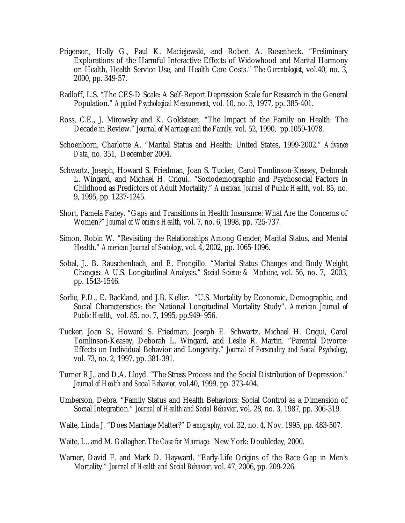- Prigerson, Holly G., Paul K. Maciejewski, and Robert A. Rosenheck. "Preliminary Explorations of the Harmful Interactive Effects of Widowhood and Marital Harmony on Health, Health Service Use, and Health Care Costs." *The Gerontologist*, vol.40, no. 3, 2000, pp. 349-57.
- Radloff, L.S. "The CES-D Scale: A Self-Report Depression Scale for Research in the General Population." *Applied Psychological Measurement*, vol. 10, no. 3, 1977, pp. 385-401.
- Ross, C.E., J. Mirowsky and K. Goldsteen. "The Impact of the Family on Health: The Decade in Review." *Journal of Marriage and the Family,* vol. 52, 1990, pp.1059-1078.
- Schoenborn, Charlotte A. "Marital Status and Health: United States, 1999-2002." *Advance Data*, no. 351, December 2004.
- Schwartz, Joseph, Howard S. Friedman, Joan S. Tucker, Carol Tomlinson-Keasey, Deborah L. Wingard, and Michael H. Criqui.. "Sociodemographic and Psychosocial Factors in Childhood as Predictors of Adult Mortality." *American Journal of Public Health,* vol. 85, no. 9, 1995, pp. 1237-1245.
- Short, Pamela Farley. "Gaps and Transitions in Health Insurance: What Are the Concerns of Women?" *Journal of Women's Health*, vol. 7, no. 6, 1998, pp. 725-737.
- Simon, Robin W. "Revisiting the Relationships Among Gender, Marital Status, and Mental Health." *American Journal of Sociology*, vol. 4, 2002, pp. 1065-1096.
- Sobal, J., B. Rauschenbach, and E. Frongillo. "Marital Status Changes and Body Weight Changes: A U.S. Longitudinal Analysis." *Social Science & Medicine*, vol. 56, no. 7, 2003, pp. 1543-1546.
- Sorlie, P.D., E. Backland, and J.B. Keller. "U.S. Mortality by Economic, Demographic, and Social Characteristics: the National Longitudinal Mortality Study". *American Journal of Public Health*, vol. 85. no. 7, 1995, pp.949–956.
- Tucker, Joan S., Howard S. Friedman, Joseph E. Schwartz, Michael H. Criqui, Carol Tomlinson-Keasey, Deborah L. Wingard, and Leslie R. Martin. "Parental Divorce: Effects on Individual Behavior and Longevity." *Journal of Personality and Social Psychology*, vol. 73, no. 2, 1997, pp. 381-391.
- Turner R.J., and D.A. Lloyd. "The Stress Process and the Social Distribution of Depression." *Journal of Health and Social Behavior,* vol.40, 1999, pp. 373-404.
- Umberson, Debra. "Family Status and Health Behaviors: Social Control as a Dimension of Social Integration." *Journal of Health and Social Behavior*, vol. 28, no. 3, 1987, pp. 306-319.
- Waite, Linda J. "Does Marriage Matter?" *Demography*, vol. 32, no. 4, Nov. 1995, pp. 483-507.
- Waite, L., and M. Gallagher. *The Case for Marriage.* New York: Doubleday, 2000.
- Warner, David F. and Mark D. Hayward. "Early-Life Origins of the Race Gap in Men's Mortality." *Journal of Health and Social Behavior,* vol. 47, 2006, pp. 209-226.